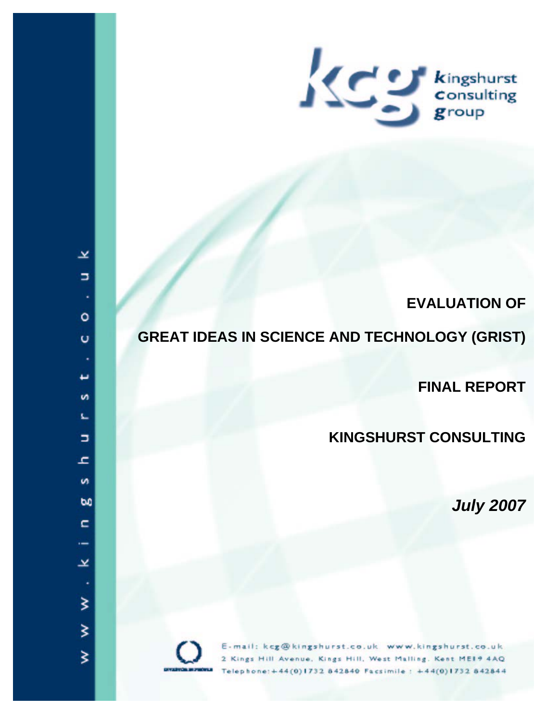

# **EVALUATION OF**

# **GREAT IDEAS IN SCIENCE AND TECHNOLOGY (GRIST)**

**FINAL REPORT**

# **KINGSHURST CONSULTING**

*July 2007*



E-mail: kcg@kingshurst.co.uk www.kingshurst.co.uk 2 Kings Hill Avenue, Kings Hill, West Malling, Kent ME19 4AQ Telephone: +44(0)1732 842840 Facsimile: +44(0)1732 842844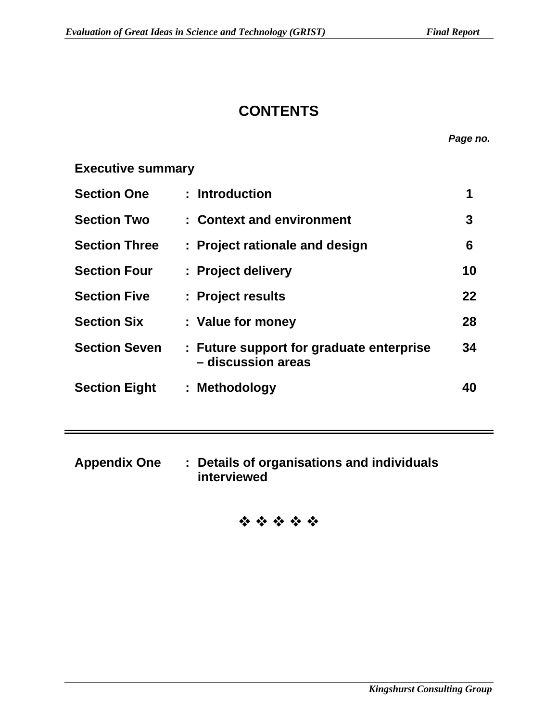# **CONTENTS**

*Page no.* 

## **Executive summary**

| <b>Section One</b>   | : Introduction                                                 | 1  |
|----------------------|----------------------------------------------------------------|----|
| <b>Section Two</b>   | : Context and environment                                      | 3  |
| <b>Section Three</b> | : Project rationale and design                                 | 6  |
| <b>Section Four</b>  | : Project delivery                                             | 10 |
| <b>Section Five</b>  | : Project results                                              | 22 |
| <b>Section Six</b>   | : Value for money                                              | 28 |
| <b>Section Seven</b> | : Future support for graduate enterprise<br>- discussion areas | 34 |
| <b>Section Eight</b> | : Methodology                                                  | 40 |

**Appendix One : Details of organisations and individuals interviewed** 

# \*\*\*\*\*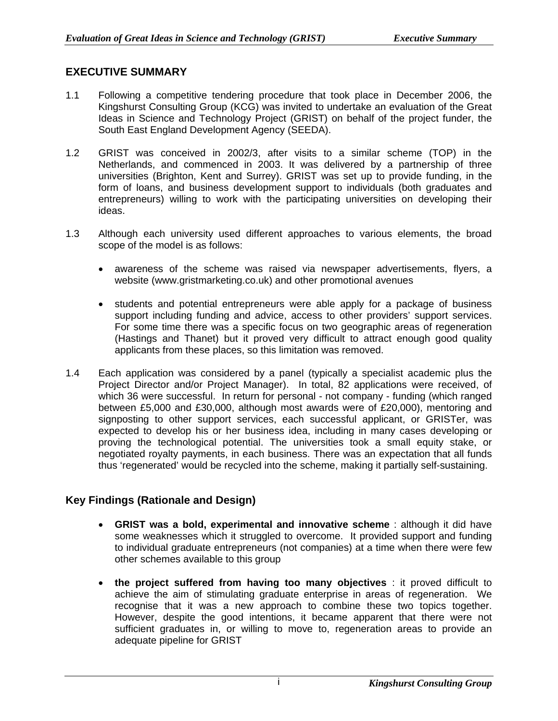## **EXECUTIVE SUMMARY**

- 1.1 Following a competitive tendering procedure that took place in December 2006, the Kingshurst Consulting Group (KCG) was invited to undertake an evaluation of the Great Ideas in Science and Technology Project (GRIST) on behalf of the project funder, the South East England Development Agency (SEEDA).
- 1.2 GRIST was conceived in 2002/3, after visits to a similar scheme (TOP) in the Netherlands, and commenced in 2003. It was delivered by a partnership of three universities (Brighton, Kent and Surrey). GRIST was set up to provide funding, in the form of loans, and business development support to individuals (both graduates and entrepreneurs) willing to work with the participating universities on developing their ideas.
- 1.3 Although each university used different approaches to various elements, the broad scope of the model is as follows:
	- awareness of the scheme was raised via newspaper advertisements, flyers, a website (www.gristmarketing.co.uk) and other promotional avenues
	- students and potential entrepreneurs were able apply for a package of business support including funding and advice, access to other providers' support services. For some time there was a specific focus on two geographic areas of regeneration (Hastings and Thanet) but it proved very difficult to attract enough good quality applicants from these places, so this limitation was removed.
- 1.4 Each application was considered by a panel (typically a specialist academic plus the Project Director and/or Project Manager). In total, 82 applications were received, of which 36 were successful. In return for personal - not company - funding (which ranged between £5,000 and £30,000, although most awards were of £20,000), mentoring and signposting to other support services, each successful applicant, or GRISTer, was expected to develop his or her business idea, including in many cases developing or proving the technological potential. The universities took a small equity stake, or negotiated royalty payments, in each business. There was an expectation that all funds thus 'regenerated' would be recycled into the scheme, making it partially self-sustaining.

## **Key Findings (Rationale and Design)**

- **GRIST was a bold, experimental and innovative scheme** : although it did have some weaknesses which it struggled to overcome. It provided support and funding to individual graduate entrepreneurs (not companies) at a time when there were few other schemes available to this group
- **the project suffered from having too many objectives** : it proved difficult to achieve the aim of stimulating graduate enterprise in areas of regeneration. We recognise that it was a new approach to combine these two topics together. However, despite the good intentions, it became apparent that there were not sufficient graduates in, or willing to move to, regeneration areas to provide an adequate pipeline for GRIST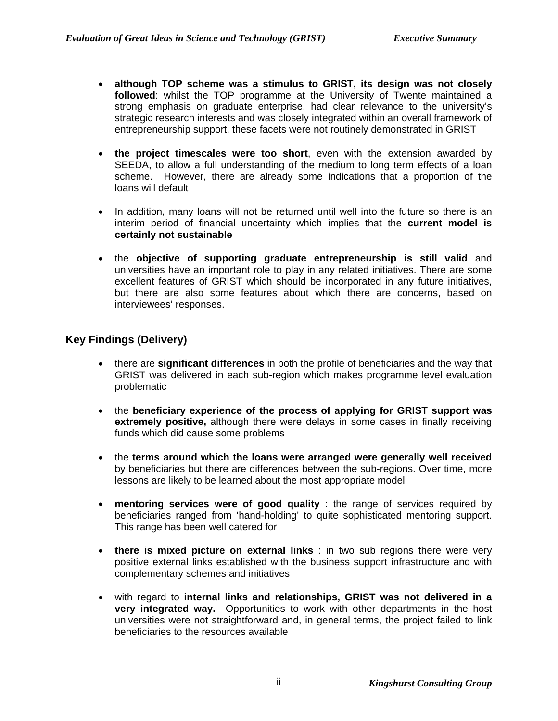- **although TOP scheme was a stimulus to GRIST, its design was not closely followed**: whilst the TOP programme at the University of Twente maintained a strong emphasis on graduate enterprise, had clear relevance to the university's strategic research interests and was closely integrated within an overall framework of entrepreneurship support, these facets were not routinely demonstrated in GRIST
- **the project timescales were too short**, even with the extension awarded by SEEDA, to allow a full understanding of the medium to long term effects of a loan scheme. However, there are already some indications that a proportion of the loans will default
- In addition, many loans will not be returned until well into the future so there is an interim period of financial uncertainty which implies that the **current model is certainly not sustainable**
- the **objective of supporting graduate entrepreneurship is still valid** and universities have an important role to play in any related initiatives. There are some excellent features of GRIST which should be incorporated in any future initiatives, but there are also some features about which there are concerns, based on interviewees' responses.

## **Key Findings (Delivery)**

- there are **significant differences** in both the profile of beneficiaries and the way that GRIST was delivered in each sub-region which makes programme level evaluation problematic
- the **beneficiary experience of the process of applying for GRIST support was extremely positive,** although there were delays in some cases in finally receiving funds which did cause some problems
- the **terms around which the loans were arranged were generally well received** by beneficiaries but there are differences between the sub-regions. Over time, more lessons are likely to be learned about the most appropriate model
- **mentoring services were of good quality** : the range of services required by beneficiaries ranged from 'hand-holding' to quite sophisticated mentoring support. This range has been well catered for
- **there is mixed picture on external links** : in two sub regions there were very positive external links established with the business support infrastructure and with complementary schemes and initiatives
- with regard to **internal links and relationships, GRIST was not delivered in a very integrated way.** Opportunities to work with other departments in the host universities were not straightforward and, in general terms, the project failed to link beneficiaries to the resources available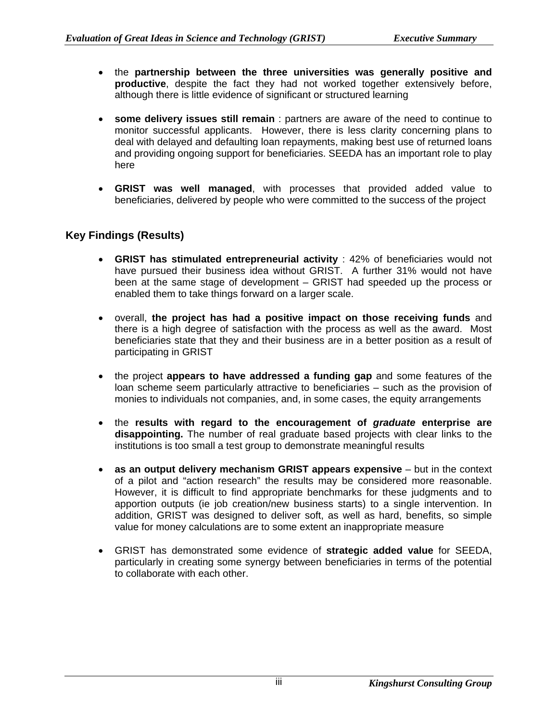- the **partnership between the three universities was generally positive and productive**, despite the fact they had not worked together extensively before, although there is little evidence of significant or structured learning
- **some delivery issues still remain** : partners are aware of the need to continue to monitor successful applicants. However, there is less clarity concerning plans to deal with delayed and defaulting loan repayments, making best use of returned loans and providing ongoing support for beneficiaries. SEEDA has an important role to play here
- **GRIST was well managed**, with processes that provided added value to beneficiaries, delivered by people who were committed to the success of the project

## **Key Findings (Results)**

- **GRIST has stimulated entrepreneurial activity** : 42% of beneficiaries would not have pursued their business idea without GRIST. A further 31% would not have been at the same stage of development – GRIST had speeded up the process or enabled them to take things forward on a larger scale.
- overall, **the project has had a positive impact on those receiving funds** and there is a high degree of satisfaction with the process as well as the award. Most beneficiaries state that they and their business are in a better position as a result of participating in GRIST
- the project **appears to have addressed a funding gap** and some features of the loan scheme seem particularly attractive to beneficiaries – such as the provision of monies to individuals not companies, and, in some cases, the equity arrangements
- the **results with regard to the encouragement of** *graduate* **enterprise are disappointing.** The number of real graduate based projects with clear links to the institutions is too small a test group to demonstrate meaningful results
- **as an output delivery mechanism GRIST appears expensive** but in the context of a pilot and "action research" the results may be considered more reasonable. However, it is difficult to find appropriate benchmarks for these judgments and to apportion outputs (ie job creation/new business starts) to a single intervention. In addition, GRIST was designed to deliver soft, as well as hard, benefits, so simple value for money calculations are to some extent an inappropriate measure
- GRIST has demonstrated some evidence of **strategic added value** for SEEDA, particularly in creating some synergy between beneficiaries in terms of the potential to collaborate with each other.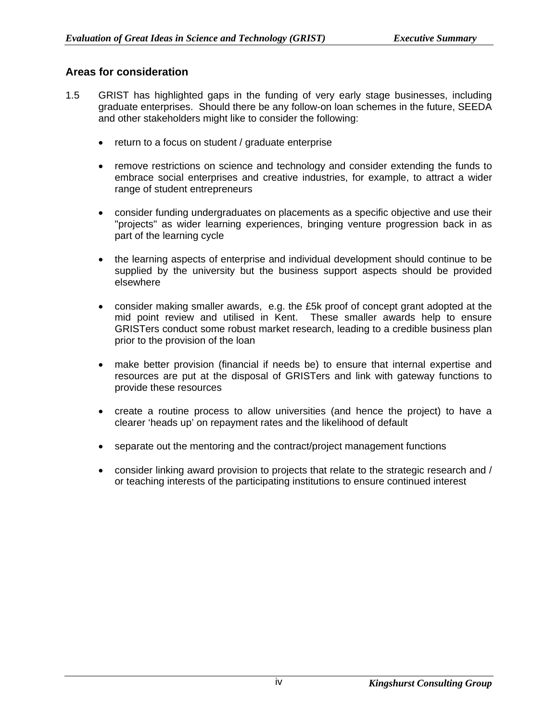## **Areas for consideration**

- 1.5 GRIST has highlighted gaps in the funding of very early stage businesses, including graduate enterprises. Should there be any follow-on loan schemes in the future, SEEDA and other stakeholders might like to consider the following:
	- return to a focus on student / graduate enterprise
	- remove restrictions on science and technology and consider extending the funds to embrace social enterprises and creative industries, for example, to attract a wider range of student entrepreneurs
	- consider funding undergraduates on placements as a specific objective and use their "projects" as wider learning experiences, bringing venture progression back in as part of the learning cycle
	- the learning aspects of enterprise and individual development should continue to be supplied by the university but the business support aspects should be provided elsewhere
	- consider making smaller awards, e.g. the £5k proof of concept grant adopted at the mid point review and utilised in Kent. These smaller awards help to ensure GRISTers conduct some robust market research, leading to a credible business plan prior to the provision of the loan
	- make better provision (financial if needs be) to ensure that internal expertise and resources are put at the disposal of GRISTers and link with gateway functions to provide these resources
	- create a routine process to allow universities (and hence the project) to have a clearer 'heads up' on repayment rates and the likelihood of default
	- separate out the mentoring and the contract/project management functions
	- consider linking award provision to projects that relate to the strategic research and / or teaching interests of the participating institutions to ensure continued interest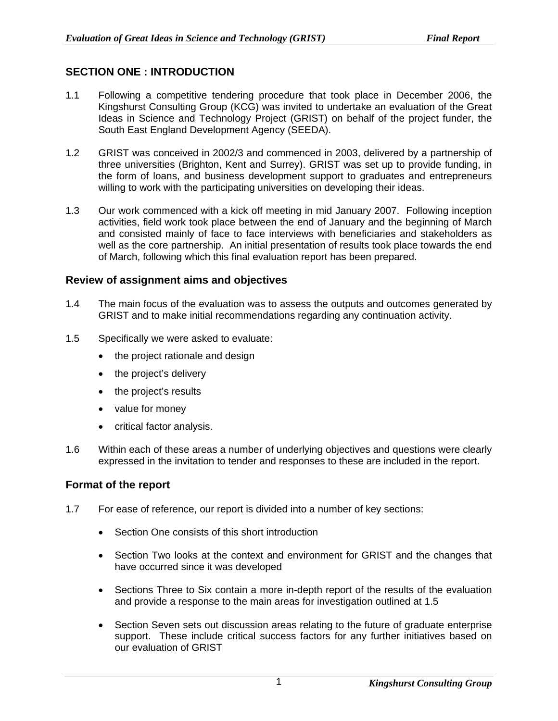## **SECTION ONE : INTRODUCTION**

- 1.1 Following a competitive tendering procedure that took place in December 2006, the Kingshurst Consulting Group (KCG) was invited to undertake an evaluation of the Great Ideas in Science and Technology Project (GRIST) on behalf of the project funder, the South East England Development Agency (SEEDA).
- 1.2 GRIST was conceived in 2002/3 and commenced in 2003, delivered by a partnership of three universities (Brighton, Kent and Surrey). GRIST was set up to provide funding, in the form of loans, and business development support to graduates and entrepreneurs willing to work with the participating universities on developing their ideas.
- 1.3 Our work commenced with a kick off meeting in mid January 2007. Following inception activities, field work took place between the end of January and the beginning of March and consisted mainly of face to face interviews with beneficiaries and stakeholders as well as the core partnership. An initial presentation of results took place towards the end of March, following which this final evaluation report has been prepared.

## **Review of assignment aims and objectives**

- 1.4 The main focus of the evaluation was to assess the outputs and outcomes generated by GRIST and to make initial recommendations regarding any continuation activity.
- 1.5 Specifically we were asked to evaluate:
	- the project rationale and design
	- the project's delivery
	- the project's results
	- value for money
	- critical factor analysis.
- 1.6 Within each of these areas a number of underlying objectives and questions were clearly expressed in the invitation to tender and responses to these are included in the report.

#### **Format of the report**

- 1.7 For ease of reference, our report is divided into a number of key sections:
	- Section One consists of this short introduction
	- Section Two looks at the context and environment for GRIST and the changes that have occurred since it was developed
	- Sections Three to Six contain a more in-depth report of the results of the evaluation and provide a response to the main areas for investigation outlined at 1.5
	- Section Seven sets out discussion areas relating to the future of graduate enterprise support. These include critical success factors for any further initiatives based on our evaluation of GRIST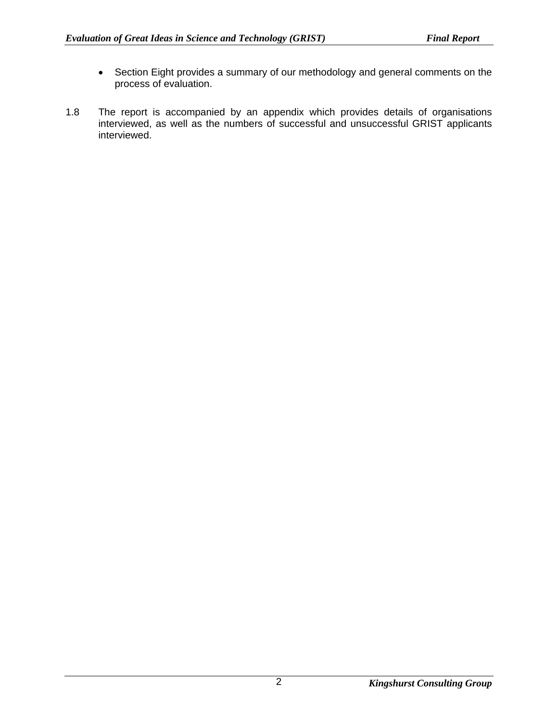- Section Eight provides a summary of our methodology and general comments on the process of evaluation.
- 1.8 The report is accompanied by an appendix which provides details of organisations interviewed, as well as the numbers of successful and unsuccessful GRIST applicants interviewed.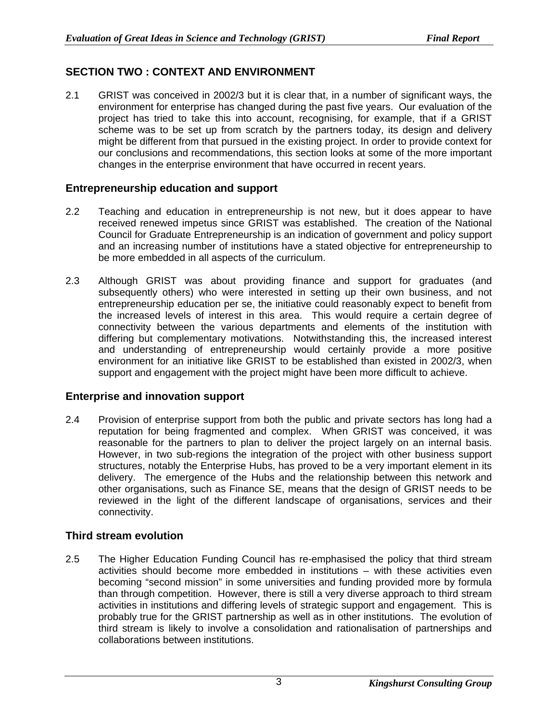## **SECTION TWO : CONTEXT AND ENVIRONMENT**

2.1 GRIST was conceived in 2002/3 but it is clear that, in a number of significant ways, the environment for enterprise has changed during the past five years. Our evaluation of the project has tried to take this into account, recognising, for example, that if a GRIST scheme was to be set up from scratch by the partners today, its design and delivery might be different from that pursued in the existing project. In order to provide context for our conclusions and recommendations, this section looks at some of the more important changes in the enterprise environment that have occurred in recent years.

## **Entrepreneurship education and support**

- 2.2 Teaching and education in entrepreneurship is not new, but it does appear to have received renewed impetus since GRIST was established. The creation of the National Council for Graduate Entrepreneurship is an indication of government and policy support and an increasing number of institutions have a stated objective for entrepreneurship to be more embedded in all aspects of the curriculum.
- 2.3 Although GRIST was about providing finance and support for graduates (and subsequently others) who were interested in setting up their own business, and not entrepreneurship education per se, the initiative could reasonably expect to benefit from the increased levels of interest in this area. This would require a certain degree of connectivity between the various departments and elements of the institution with differing but complementary motivations. Notwithstanding this, the increased interest and understanding of entrepreneurship would certainly provide a more positive environment for an initiative like GRIST to be established than existed in 2002/3, when support and engagement with the project might have been more difficult to achieve.

## **Enterprise and innovation support**

2.4 Provision of enterprise support from both the public and private sectors has long had a reputation for being fragmented and complex. When GRIST was conceived, it was reasonable for the partners to plan to deliver the project largely on an internal basis. However, in two sub-regions the integration of the project with other business support structures, notably the Enterprise Hubs, has proved to be a very important element in its delivery. The emergence of the Hubs and the relationship between this network and other organisations, such as Finance SE, means that the design of GRIST needs to be reviewed in the light of the different landscape of organisations, services and their connectivity.

## **Third stream evolution**

2.5 The Higher Education Funding Council has re-emphasised the policy that third stream activities should become more embedded in institutions – with these activities even becoming "second mission" in some universities and funding provided more by formula than through competition. However, there is still a very diverse approach to third stream activities in institutions and differing levels of strategic support and engagement. This is probably true for the GRIST partnership as well as in other institutions. The evolution of third stream is likely to involve a consolidation and rationalisation of partnerships and collaborations between institutions.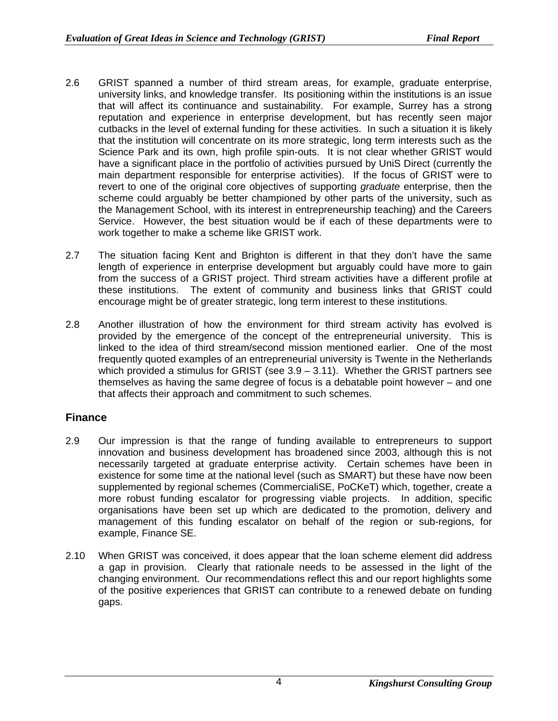- 2.6 GRIST spanned a number of third stream areas, for example, graduate enterprise, university links, and knowledge transfer. Its positioning within the institutions is an issue that will affect its continuance and sustainability. For example, Surrey has a strong reputation and experience in enterprise development, but has recently seen major cutbacks in the level of external funding for these activities. In such a situation it is likely that the institution will concentrate on its more strategic, long term interests such as the Science Park and its own, high profile spin-outs. It is not clear whether GRIST would have a significant place in the portfolio of activities pursued by UniS Direct (currently the main department responsible for enterprise activities). If the focus of GRIST were to revert to one of the original core objectives of supporting *graduate* enterprise, then the scheme could arguably be better championed by other parts of the university, such as the Management School, with its interest in entrepreneurship teaching) and the Careers Service. However, the best situation would be if each of these departments were to work together to make a scheme like GRIST work.
- 2.7 The situation facing Kent and Brighton is different in that they don't have the same length of experience in enterprise development but arguably could have more to gain from the success of a GRIST project. Third stream activities have a different profile at these institutions. The extent of community and business links that GRIST could encourage might be of greater strategic, long term interest to these institutions.
- 2.8 Another illustration of how the environment for third stream activity has evolved is provided by the emergence of the concept of the entrepreneurial university. This is linked to the idea of third stream/second mission mentioned earlier. One of the most frequently quoted examples of an entrepreneurial university is Twente in the Netherlands which provided a stimulus for GRIST (see 3.9 – 3.11). Whether the GRIST partners see themselves as having the same degree of focus is a debatable point however – and one that affects their approach and commitment to such schemes.

## **Finance**

- 2.9 Our impression is that the range of funding available to entrepreneurs to support innovation and business development has broadened since 2003, although this is not necessarily targeted at graduate enterprise activity. Certain schemes have been in existence for some time at the national level (such as SMART) but these have now been supplemented by regional schemes (CommercialiSE, PoCKeT) which, together, create a more robust funding escalator for progressing viable projects. In addition, specific organisations have been set up which are dedicated to the promotion, delivery and management of this funding escalator on behalf of the region or sub-regions, for example, Finance SE.
- 2.10 When GRIST was conceived, it does appear that the loan scheme element did address a gap in provision. Clearly that rationale needs to be assessed in the light of the changing environment. Our recommendations reflect this and our report highlights some of the positive experiences that GRIST can contribute to a renewed debate on funding gaps.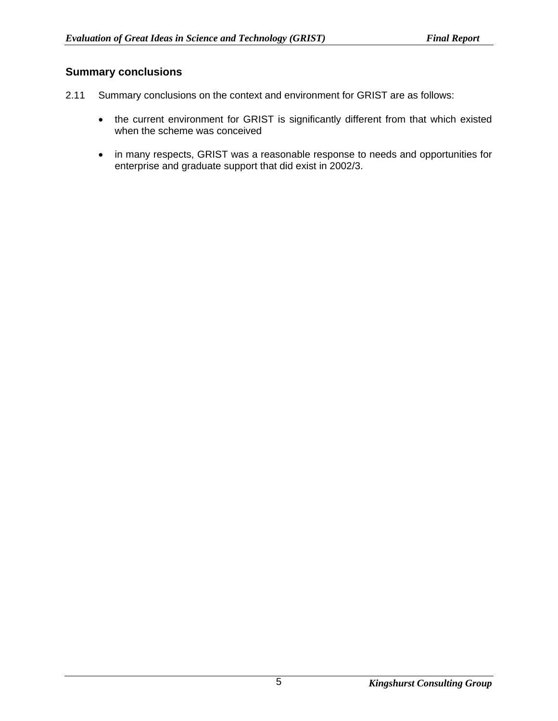## **Summary conclusions**

- 2.11 Summary conclusions on the context and environment for GRIST are as follows:
	- the current environment for GRIST is significantly different from that which existed when the scheme was conceived
	- in many respects, GRIST was a reasonable response to needs and opportunities for enterprise and graduate support that did exist in 2002/3.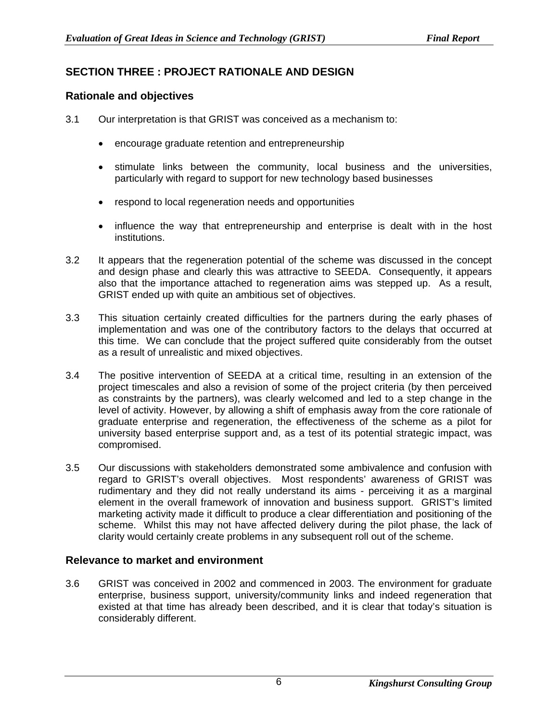## **SECTION THREE : PROJECT RATIONALE AND DESIGN**

## **Rationale and objectives**

- 3.1 Our interpretation is that GRIST was conceived as a mechanism to:
	- encourage graduate retention and entrepreneurship
	- stimulate links between the community, local business and the universities, particularly with regard to support for new technology based businesses
	- respond to local regeneration needs and opportunities
	- influence the way that entrepreneurship and enterprise is dealt with in the host institutions.
- 3.2 It appears that the regeneration potential of the scheme was discussed in the concept and design phase and clearly this was attractive to SEEDA. Consequently, it appears also that the importance attached to regeneration aims was stepped up. As a result, GRIST ended up with quite an ambitious set of objectives.
- 3.3 This situation certainly created difficulties for the partners during the early phases of implementation and was one of the contributory factors to the delays that occurred at this time. We can conclude that the project suffered quite considerably from the outset as a result of unrealistic and mixed objectives.
- 3.4 The positive intervention of SEEDA at a critical time, resulting in an extension of the project timescales and also a revision of some of the project criteria (by then perceived as constraints by the partners), was clearly welcomed and led to a step change in the level of activity. However, by allowing a shift of emphasis away from the core rationale of graduate enterprise and regeneration, the effectiveness of the scheme as a pilot for university based enterprise support and, as a test of its potential strategic impact, was compromised.
- 3.5 Our discussions with stakeholders demonstrated some ambivalence and confusion with regard to GRIST's overall objectives. Most respondents' awareness of GRIST was rudimentary and they did not really understand its aims - perceiving it as a marginal element in the overall framework of innovation and business support. GRIST's limited marketing activity made it difficult to produce a clear differentiation and positioning of the scheme. Whilst this may not have affected delivery during the pilot phase, the lack of clarity would certainly create problems in any subsequent roll out of the scheme.

## **Relevance to market and environment**

3.6 GRIST was conceived in 2002 and commenced in 2003. The environment for graduate enterprise, business support, university/community links and indeed regeneration that existed at that time has already been described, and it is clear that today's situation is considerably different.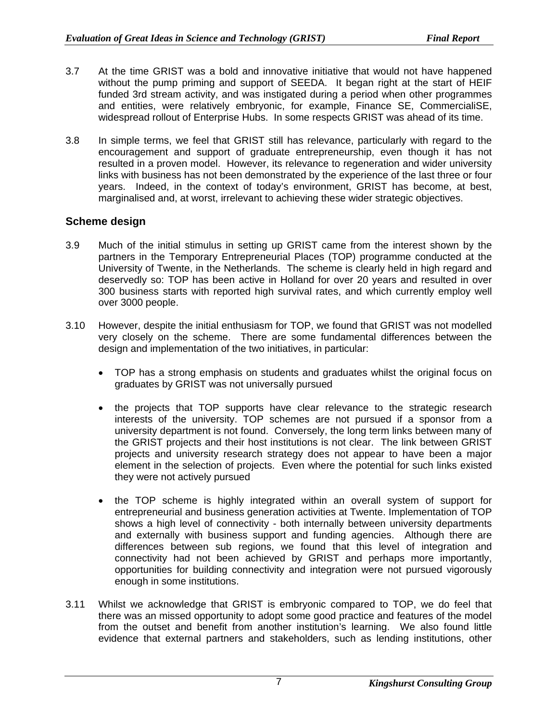- 3.7 At the time GRIST was a bold and innovative initiative that would not have happened without the pump priming and support of SEEDA. It began right at the start of HEIF funded 3rd stream activity, and was instigated during a period when other programmes and entities, were relatively embryonic, for example, Finance SE, CommercialiSE, widespread rollout of Enterprise Hubs. In some respects GRIST was ahead of its time.
- 3.8 In simple terms, we feel that GRIST still has relevance, particularly with regard to the encouragement and support of graduate entrepreneurship, even though it has not resulted in a proven model. However, its relevance to regeneration and wider university links with business has not been demonstrated by the experience of the last three or four years. Indeed, in the context of today's environment, GRIST has become, at best, marginalised and, at worst, irrelevant to achieving these wider strategic objectives.

## **Scheme design**

- 3.9 Much of the initial stimulus in setting up GRIST came from the interest shown by the partners in the Temporary Entrepreneurial Places (TOP) programme conducted at the University of Twente, in the Netherlands. The scheme is clearly held in high regard and deservedly so: TOP has been active in Holland for over 20 years and resulted in over 300 business starts with reported high survival rates, and which currently employ well over 3000 people.
- 3.10 However, despite the initial enthusiasm for TOP, we found that GRIST was not modelled very closely on the scheme. There are some fundamental differences between the design and implementation of the two initiatives, in particular:
	- TOP has a strong emphasis on students and graduates whilst the original focus on graduates by GRIST was not universally pursued
	- the projects that TOP supports have clear relevance to the strategic research interests of the university. TOP schemes are not pursued if a sponsor from a university department is not found. Conversely, the long term links between many of the GRIST projects and their host institutions is not clear. The link between GRIST projects and university research strategy does not appear to have been a major element in the selection of projects. Even where the potential for such links existed they were not actively pursued
	- the TOP scheme is highly integrated within an overall system of support for entrepreneurial and business generation activities at Twente. Implementation of TOP shows a high level of connectivity - both internally between university departments and externally with business support and funding agencies. Although there are differences between sub regions, we found that this level of integration and connectivity had not been achieved by GRIST and perhaps more importantly, opportunities for building connectivity and integration were not pursued vigorously enough in some institutions.
- 3.11 Whilst we acknowledge that GRIST is embryonic compared to TOP, we do feel that there was an missed opportunity to adopt some good practice and features of the model from the outset and benefit from another institution's learning. We also found little evidence that external partners and stakeholders, such as lending institutions, other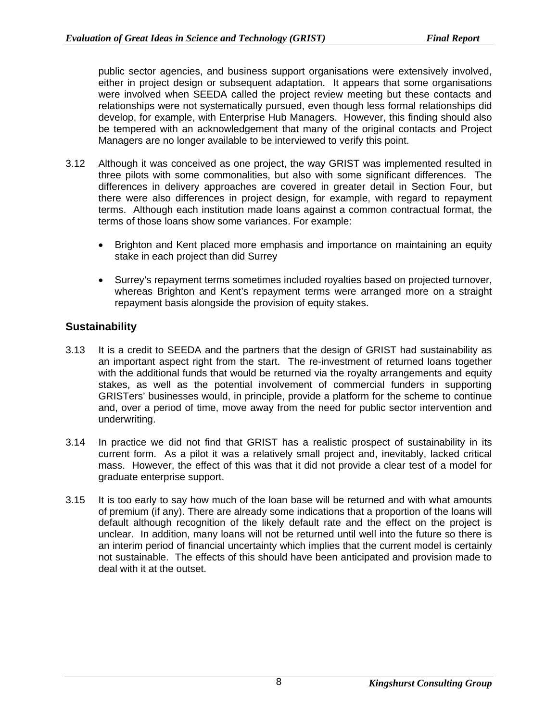public sector agencies, and business support organisations were extensively involved, either in project design or subsequent adaptation. It appears that some organisations were involved when SEEDA called the project review meeting but these contacts and relationships were not systematically pursued, even though less formal relationships did develop, for example, with Enterprise Hub Managers. However, this finding should also be tempered with an acknowledgement that many of the original contacts and Project Managers are no longer available to be interviewed to verify this point.

- 3.12 Although it was conceived as one project, the way GRIST was implemented resulted in three pilots with some commonalities, but also with some significant differences. The differences in delivery approaches are covered in greater detail in Section Four, but there were also differences in project design, for example, with regard to repayment terms. Although each institution made loans against a common contractual format, the terms of those loans show some variances. For example:
	- Brighton and Kent placed more emphasis and importance on maintaining an equity stake in each project than did Surrey
	- Surrey's repayment terms sometimes included royalties based on projected turnover, whereas Brighton and Kent's repayment terms were arranged more on a straight repayment basis alongside the provision of equity stakes.

## **Sustainability**

- 3.13 It is a credit to SEEDA and the partners that the design of GRIST had sustainability as an important aspect right from the start. The re-investment of returned loans together with the additional funds that would be returned via the royalty arrangements and equity stakes, as well as the potential involvement of commercial funders in supporting GRISTers' businesses would, in principle, provide a platform for the scheme to continue and, over a period of time, move away from the need for public sector intervention and underwriting.
- 3.14 In practice we did not find that GRIST has a realistic prospect of sustainability in its current form. As a pilot it was a relatively small project and, inevitably, lacked critical mass. However, the effect of this was that it did not provide a clear test of a model for graduate enterprise support.
- 3.15 It is too early to say how much of the loan base will be returned and with what amounts of premium (if any). There are already some indications that a proportion of the loans will default although recognition of the likely default rate and the effect on the project is unclear. In addition, many loans will not be returned until well into the future so there is an interim period of financial uncertainty which implies that the current model is certainly not sustainable. The effects of this should have been anticipated and provision made to deal with it at the outset.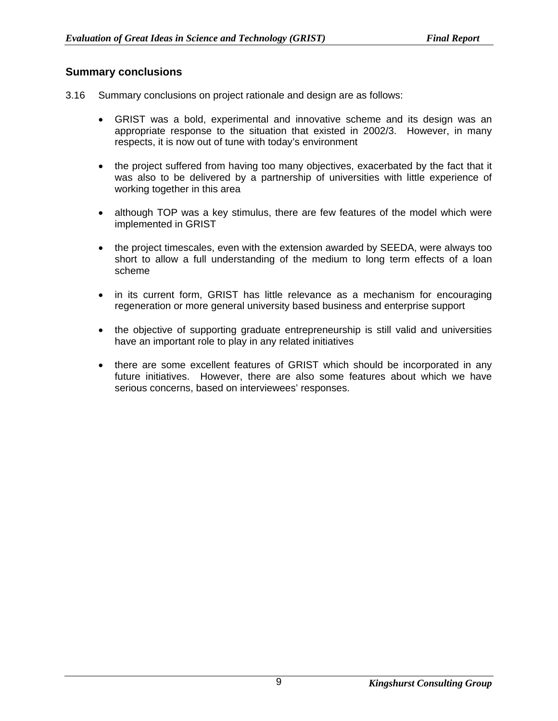#### **Summary conclusions**

- 3.16 Summary conclusions on project rationale and design are as follows:
	- GRIST was a bold, experimental and innovative scheme and its design was an appropriate response to the situation that existed in 2002/3. However, in many respects, it is now out of tune with today's environment
	- the project suffered from having too many objectives, exacerbated by the fact that it was also to be delivered by a partnership of universities with little experience of working together in this area
	- although TOP was a key stimulus, there are few features of the model which were implemented in GRIST
	- the project timescales, even with the extension awarded by SEEDA, were always too short to allow a full understanding of the medium to long term effects of a loan scheme
	- in its current form, GRIST has little relevance as a mechanism for encouraging regeneration or more general university based business and enterprise support
	- the objective of supporting graduate entrepreneurship is still valid and universities have an important role to play in any related initiatives
	- there are some excellent features of GRIST which should be incorporated in any future initiatives. However, there are also some features about which we have serious concerns, based on interviewees' responses.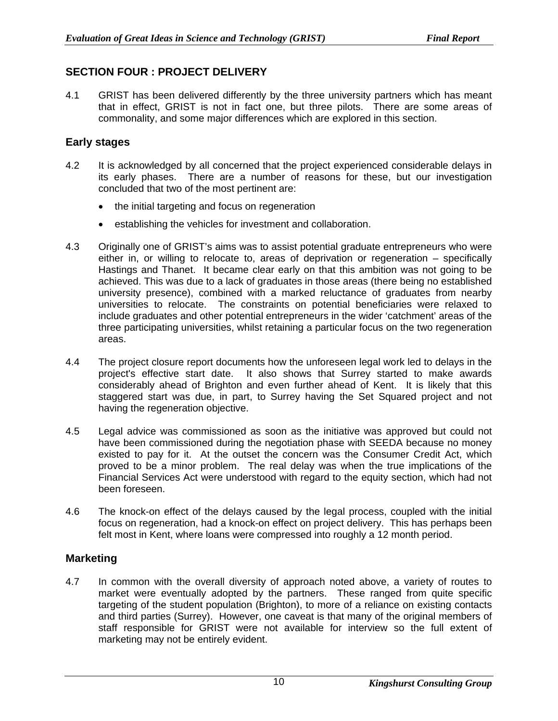## **SECTION FOUR : PROJECT DELIVERY**

4.1 GRIST has been delivered differently by the three university partners which has meant that in effect, GRIST is not in fact one, but three pilots. There are some areas of commonality, and some major differences which are explored in this section.

## **Early stages**

- 4.2 It is acknowledged by all concerned that the project experienced considerable delays in its early phases. There are a number of reasons for these, but our investigation concluded that two of the most pertinent are:
	- the initial targeting and focus on regeneration
	- establishing the vehicles for investment and collaboration.
- 4.3 Originally one of GRIST's aims was to assist potential graduate entrepreneurs who were either in, or willing to relocate to, areas of deprivation or regeneration – specifically Hastings and Thanet. It became clear early on that this ambition was not going to be achieved. This was due to a lack of graduates in those areas (there being no established university presence), combined with a marked reluctance of graduates from nearby universities to relocate. The constraints on potential beneficiaries were relaxed to include graduates and other potential entrepreneurs in the wider 'catchment' areas of the three participating universities, whilst retaining a particular focus on the two regeneration areas.
- 4.4 The project closure report documents how the unforeseen legal work led to delays in the project's effective start date. It also shows that Surrey started to make awards considerably ahead of Brighton and even further ahead of Kent. It is likely that this staggered start was due, in part, to Surrey having the Set Squared project and not having the regeneration objective.
- 4.5 Legal advice was commissioned as soon as the initiative was approved but could not have been commissioned during the negotiation phase with SEEDA because no money existed to pay for it. At the outset the concern was the Consumer Credit Act, which proved to be a minor problem. The real delay was when the true implications of the Financial Services Act were understood with regard to the equity section, which had not been foreseen.
- 4.6 The knock-on effect of the delays caused by the legal process, coupled with the initial focus on regeneration, had a knock-on effect on project delivery. This has perhaps been felt most in Kent, where loans were compressed into roughly a 12 month period.

## **Marketing**

4.7 In common with the overall diversity of approach noted above, a variety of routes to market were eventually adopted by the partners. These ranged from quite specific targeting of the student population (Brighton), to more of a reliance on existing contacts and third parties (Surrey). However, one caveat is that many of the original members of staff responsible for GRIST were not available for interview so the full extent of marketing may not be entirely evident.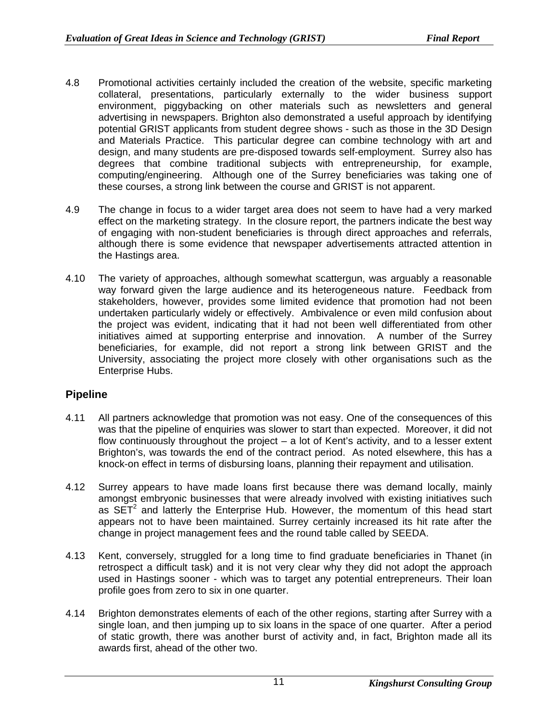- 4.8 Promotional activities certainly included the creation of the website, specific marketing collateral, presentations, particularly externally to the wider business support environment, piggybacking on other materials such as newsletters and general advertising in newspapers. Brighton also demonstrated a useful approach by identifying potential GRIST applicants from student degree shows - such as those in the 3D Design and Materials Practice. This particular degree can combine technology with art and design, and many students are pre-disposed towards self-employment. Surrey also has degrees that combine traditional subjects with entrepreneurship, for example, computing/engineering. Although one of the Surrey beneficiaries was taking one of these courses, a strong link between the course and GRIST is not apparent.
- 4.9 The change in focus to a wider target area does not seem to have had a very marked effect on the marketing strategy. In the closure report, the partners indicate the best way of engaging with non-student beneficiaries is through direct approaches and referrals, although there is some evidence that newspaper advertisements attracted attention in the Hastings area.
- 4.10 The variety of approaches, although somewhat scattergun, was arguably a reasonable way forward given the large audience and its heterogeneous nature. Feedback from stakeholders, however, provides some limited evidence that promotion had not been undertaken particularly widely or effectively. Ambivalence or even mild confusion about the project was evident, indicating that it had not been well differentiated from other initiatives aimed at supporting enterprise and innovation. A number of the Surrey beneficiaries, for example, did not report a strong link between GRIST and the University, associating the project more closely with other organisations such as the Enterprise Hubs.

#### **Pipeline**

- 4.11 All partners acknowledge that promotion was not easy. One of the consequences of this was that the pipeline of enquiries was slower to start than expected. Moreover, it did not flow continuously throughout the project – a lot of Kent's activity, and to a lesser extent Brighton's, was towards the end of the contract period. As noted elsewhere, this has a knock-on effect in terms of disbursing loans, planning their repayment and utilisation.
- 4.12 Surrey appears to have made loans first because there was demand locally, mainly amongst embryonic businesses that were already involved with existing initiatives such as  $SET<sup>2</sup>$  and latterly the Enterprise Hub. However, the momentum of this head start appears not to have been maintained. Surrey certainly increased its hit rate after the change in project management fees and the round table called by SEEDA.
- 4.13 Kent, conversely, struggled for a long time to find graduate beneficiaries in Thanet (in retrospect a difficult task) and it is not very clear why they did not adopt the approach used in Hastings sooner - which was to target any potential entrepreneurs. Their loan profile goes from zero to six in one quarter.
- 4.14 Brighton demonstrates elements of each of the other regions, starting after Surrey with a single loan, and then jumping up to six loans in the space of one quarter. After a period of static growth, there was another burst of activity and, in fact, Brighton made all its awards first, ahead of the other two.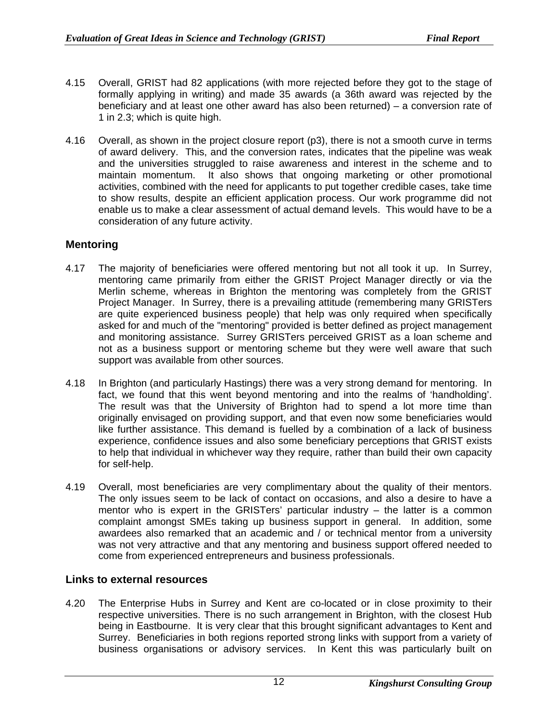- 4.15 Overall, GRIST had 82 applications (with more rejected before they got to the stage of formally applying in writing) and made 35 awards (a 36th award was rejected by the beneficiary and at least one other award has also been returned) – a conversion rate of 1 in 2.3; which is quite high.
- 4.16 Overall, as shown in the project closure report (p3), there is not a smooth curve in terms of award delivery. This, and the conversion rates, indicates that the pipeline was weak and the universities struggled to raise awareness and interest in the scheme and to maintain momentum. It also shows that ongoing marketing or other promotional activities, combined with the need for applicants to put together credible cases, take time to show results, despite an efficient application process. Our work programme did not enable us to make a clear assessment of actual demand levels. This would have to be a consideration of any future activity.

## **Mentoring**

- 4.17 The majority of beneficiaries were offered mentoring but not all took it up. In Surrey, mentoring came primarily from either the GRIST Project Manager directly or via the Merlin scheme, whereas in Brighton the mentoring was completely from the GRIST Project Manager. In Surrey, there is a prevailing attitude (remembering many GRISTers are quite experienced business people) that help was only required when specifically asked for and much of the "mentoring" provided is better defined as project management and monitoring assistance. Surrey GRISTers perceived GRIST as a loan scheme and not as a business support or mentoring scheme but they were well aware that such support was available from other sources.
- 4.18 In Brighton (and particularly Hastings) there was a very strong demand for mentoring. In fact, we found that this went beyond mentoring and into the realms of 'handholding'. The result was that the University of Brighton had to spend a lot more time than originally envisaged on providing support, and that even now some beneficiaries would like further assistance. This demand is fuelled by a combination of a lack of business experience, confidence issues and also some beneficiary perceptions that GRIST exists to help that individual in whichever way they require, rather than build their own capacity for self-help.
- 4.19 Overall, most beneficiaries are very complimentary about the quality of their mentors. The only issues seem to be lack of contact on occasions, and also a desire to have a mentor who is expert in the GRISTers' particular industry – the latter is a common complaint amongst SMEs taking up business support in general. In addition, some awardees also remarked that an academic and / or technical mentor from a university was not very attractive and that any mentoring and business support offered needed to come from experienced entrepreneurs and business professionals.

#### **Links to external resources**

4.20 The Enterprise Hubs in Surrey and Kent are co-located or in close proximity to their respective universities. There is no such arrangement in Brighton, with the closest Hub being in Eastbourne. It is very clear that this brought significant advantages to Kent and Surrey. Beneficiaries in both regions reported strong links with support from a variety of business organisations or advisory services. In Kent this was particularly built on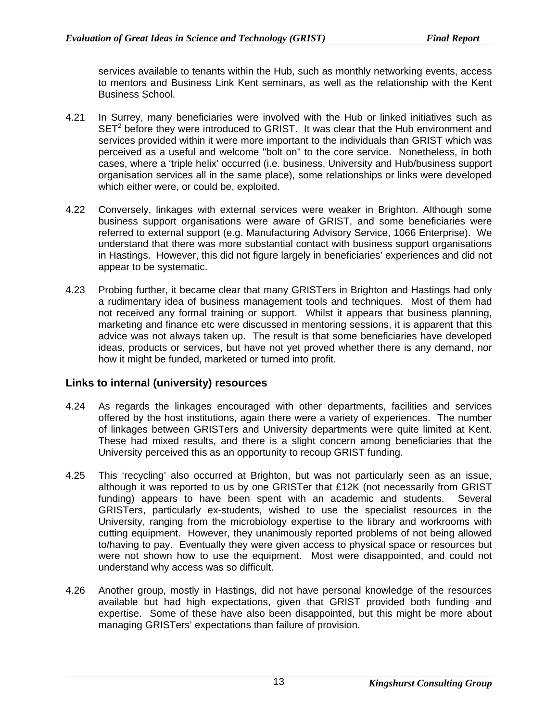services available to tenants within the Hub, such as monthly networking events, access to mentors and Business Link Kent seminars, as well as the relationship with the Kent Business School.

- 4.21 In Surrey, many beneficiaries were involved with the Hub or linked initiatives such as  $SET<sup>2</sup>$  before they were introduced to GRIST. It was clear that the Hub environment and services provided within it were more important to the individuals than GRIST which was perceived as a useful and welcome "bolt on" to the core service. Nonetheless, in both cases, where a 'triple helix' occurred (i.e. business, University and Hub/business support organisation services all in the same place), some relationships or links were developed which either were, or could be, exploited.
- 4.22 Conversely, linkages with external services were weaker in Brighton. Although some business support organisations were aware of GRIST, and some beneficiaries were referred to external support (e.g. Manufacturing Advisory Service, 1066 Enterprise). We understand that there was more substantial contact with business support organisations in Hastings. However, this did not figure largely in beneficiaries' experiences and did not appear to be systematic.
- 4.23 Probing further, it became clear that many GRISTers in Brighton and Hastings had only a rudimentary idea of business management tools and techniques. Most of them had not received any formal training or support. Whilst it appears that business planning, marketing and finance etc were discussed in mentoring sessions, it is apparent that this advice was not always taken up. The result is that some beneficiaries have developed ideas, products or services, but have not yet proved whether there is any demand, nor how it might be funded, marketed or turned into profit.

#### **Links to internal (university) resources**

- 4.24 As regards the linkages encouraged with other departments, facilities and services offered by the host institutions, again there were a variety of experiences. The number of linkages between GRISTers and University departments were quite limited at Kent. These had mixed results, and there is a slight concern among beneficiaries that the University perceived this as an opportunity to recoup GRIST funding.
- 4.25 This 'recycling' also occurred at Brighton, but was not particularly seen as an issue, although it was reported to us by one GRISTer that £12K (not necessarily from GRIST funding) appears to have been spent with an academic and students. Several GRISTers, particularly ex-students, wished to use the specialist resources in the University, ranging from the microbiology expertise to the library and workrooms with cutting equipment. However, they unanimously reported problems of not being allowed to/having to pay. Eventually they were given access to physical space or resources but were not shown how to use the equipment. Most were disappointed, and could not understand why access was so difficult.
- 4.26 Another group, mostly in Hastings, did not have personal knowledge of the resources available but had high expectations, given that GRIST provided both funding and expertise. Some of these have also been disappointed, but this might be more about managing GRISTers' expectations than failure of provision.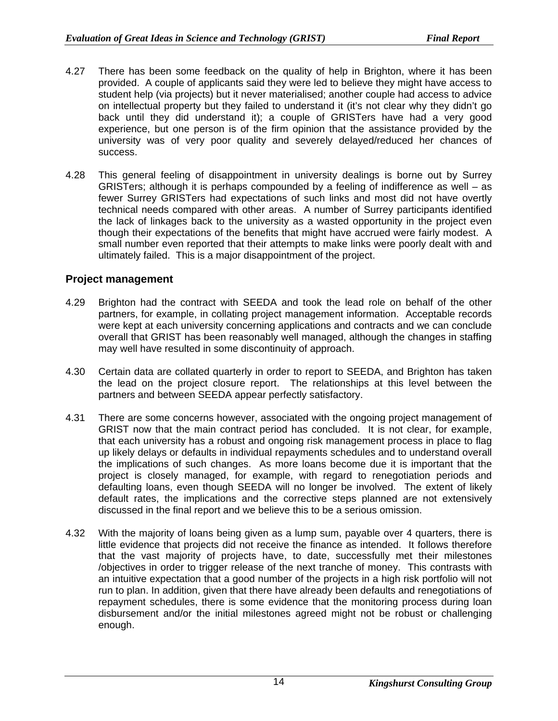- 4.27 There has been some feedback on the quality of help in Brighton, where it has been provided. A couple of applicants said they were led to believe they might have access to student help (via projects) but it never materialised; another couple had access to advice on intellectual property but they failed to understand it (it's not clear why they didn't go back until they did understand it); a couple of GRISTers have had a very good experience, but one person is of the firm opinion that the assistance provided by the university was of very poor quality and severely delayed/reduced her chances of success.
- 4.28 This general feeling of disappointment in university dealings is borne out by Surrey GRISTers; although it is perhaps compounded by a feeling of indifference as well – as fewer Surrey GRISTers had expectations of such links and most did not have overtly technical needs compared with other areas. A number of Surrey participants identified the lack of linkages back to the university as a wasted opportunity in the project even though their expectations of the benefits that might have accrued were fairly modest. A small number even reported that their attempts to make links were poorly dealt with and ultimately failed. This is a major disappointment of the project.

#### **Project management**

- 4.29 Brighton had the contract with SEEDA and took the lead role on behalf of the other partners, for example, in collating project management information. Acceptable records were kept at each university concerning applications and contracts and we can conclude overall that GRIST has been reasonably well managed, although the changes in staffing may well have resulted in some discontinuity of approach.
- 4.30 Certain data are collated quarterly in order to report to SEEDA, and Brighton has taken the lead on the project closure report. The relationships at this level between the partners and between SEEDA appear perfectly satisfactory.
- 4.31 There are some concerns however, associated with the ongoing project management of GRIST now that the main contract period has concluded. It is not clear, for example, that each university has a robust and ongoing risk management process in place to flag up likely delays or defaults in individual repayments schedules and to understand overall the implications of such changes. As more loans become due it is important that the project is closely managed, for example, with regard to renegotiation periods and defaulting loans, even though SEEDA will no longer be involved. The extent of likely default rates, the implications and the corrective steps planned are not extensively discussed in the final report and we believe this to be a serious omission.
- 4.32 With the majority of loans being given as a lump sum, payable over 4 quarters, there is little evidence that projects did not receive the finance as intended. It follows therefore that the vast majority of projects have, to date, successfully met their milestones /objectives in order to trigger release of the next tranche of money. This contrasts with an intuitive expectation that a good number of the projects in a high risk portfolio will not run to plan. In addition, given that there have already been defaults and renegotiations of repayment schedules, there is some evidence that the monitoring process during loan disbursement and/or the initial milestones agreed might not be robust or challenging enough.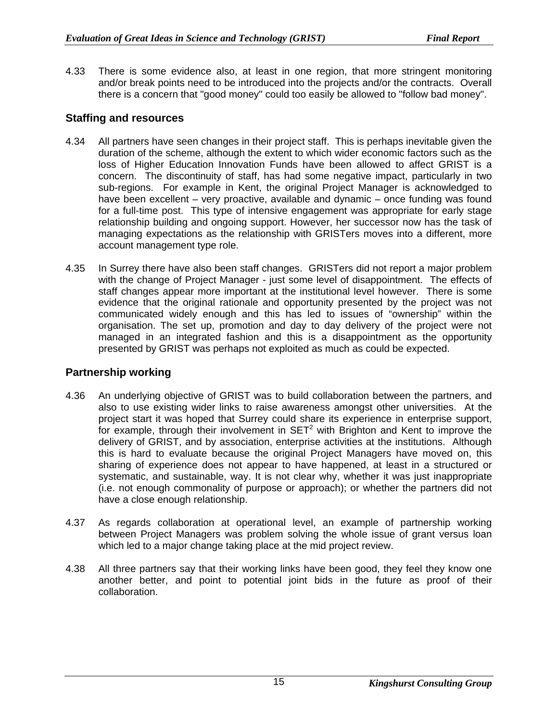4.33 There is some evidence also, at least in one region, that more stringent monitoring and/or break points need to be introduced into the projects and/or the contracts. Overall there is a concern that "good money" could too easily be allowed to "follow bad money".

## **Staffing and resources**

- 4.34 All partners have seen changes in their project staff. This is perhaps inevitable given the duration of the scheme, although the extent to which wider economic factors such as the loss of Higher Education Innovation Funds have been allowed to affect GRIST is a concern. The discontinuity of staff, has had some negative impact, particularly in two sub-regions. For example in Kent, the original Project Manager is acknowledged to have been excellent – very proactive, available and dynamic – once funding was found for a full-time post. This type of intensive engagement was appropriate for early stage relationship building and ongoing support. However, her successor now has the task of managing expectations as the relationship with GRISTers moves into a different, more account management type role.
- 4.35 In Surrey there have also been staff changes. GRISTers did not report a major problem with the change of Project Manager - just some level of disappointment. The effects of staff changes appear more important at the institutional level however. There is some evidence that the original rationale and opportunity presented by the project was not communicated widely enough and this has led to issues of "ownership" within the organisation. The set up, promotion and day to day delivery of the project were not managed in an integrated fashion and this is a disappointment as the opportunity presented by GRIST was perhaps not exploited as much as could be expected.

## **Partnership working**

- 4.36 An underlying objective of GRIST was to build collaboration between the partners, and also to use existing wider links to raise awareness amongst other universities. At the project start it was hoped that Surrey could share its experience in enterprise support, for example, through their involvement in  $SET<sup>2</sup>$  with Brighton and Kent to improve the delivery of GRIST, and by association, enterprise activities at the institutions. Although this is hard to evaluate because the original Project Managers have moved on, this sharing of experience does not appear to have happened, at least in a structured or systematic, and sustainable, way. It is not clear why, whether it was just inappropriate (i.e. not enough commonality of purpose or approach); or whether the partners did not have a close enough relationship.
- 4.37 As regards collaboration at operational level, an example of partnership working between Project Managers was problem solving the whole issue of grant versus loan which led to a major change taking place at the mid project review.
- 4.38 All three partners say that their working links have been good, they feel they know one another better, and point to potential joint bids in the future as proof of their collaboration.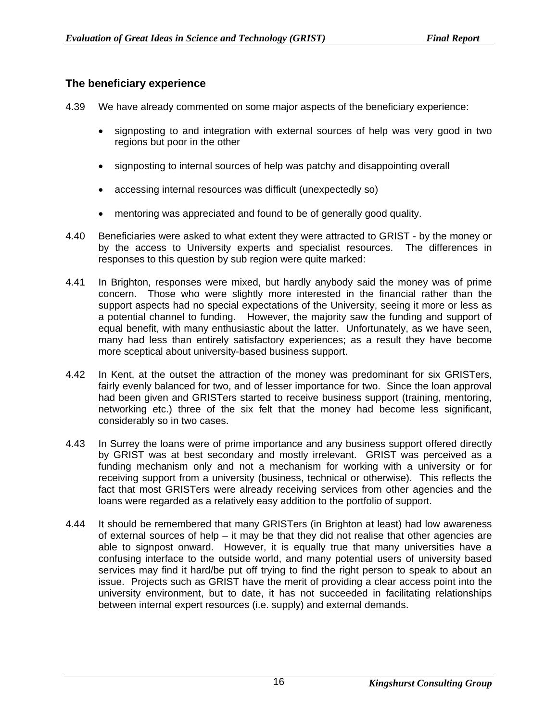## **The beneficiary experience**

- 4.39 We have already commented on some major aspects of the beneficiary experience:
	- signposting to and integration with external sources of help was very good in two regions but poor in the other
	- signposting to internal sources of help was patchy and disappointing overall
	- accessing internal resources was difficult (unexpectedly so)
	- mentoring was appreciated and found to be of generally good quality.
- 4.40 Beneficiaries were asked to what extent they were attracted to GRIST by the money or by the access to University experts and specialist resources. The differences in responses to this question by sub region were quite marked:
- 4.41 In Brighton, responses were mixed, but hardly anybody said the money was of prime concern. Those who were slightly more interested in the financial rather than the support aspects had no special expectations of the University, seeing it more or less as a potential channel to funding. However, the majority saw the funding and support of equal benefit, with many enthusiastic about the latter. Unfortunately, as we have seen, many had less than entirely satisfactory experiences; as a result they have become more sceptical about university-based business support.
- 4.42 In Kent, at the outset the attraction of the money was predominant for six GRISTers, fairly evenly balanced for two, and of lesser importance for two. Since the loan approval had been given and GRISTers started to receive business support (training, mentoring, networking etc.) three of the six felt that the money had become less significant, considerably so in two cases.
- 4.43 In Surrey the loans were of prime importance and any business support offered directly by GRIST was at best secondary and mostly irrelevant. GRIST was perceived as a funding mechanism only and not a mechanism for working with a university or for receiving support from a university (business, technical or otherwise). This reflects the fact that most GRISTers were already receiving services from other agencies and the loans were regarded as a relatively easy addition to the portfolio of support.
- 4.44 It should be remembered that many GRISTers (in Brighton at least) had low awareness of external sources of help – it may be that they did not realise that other agencies are able to signpost onward. However, it is equally true that many universities have a confusing interface to the outside world, and many potential users of university based services may find it hard/be put off trying to find the right person to speak to about an issue. Projects such as GRIST have the merit of providing a clear access point into the university environment, but to date, it has not succeeded in facilitating relationships between internal expert resources (i.e. supply) and external demands.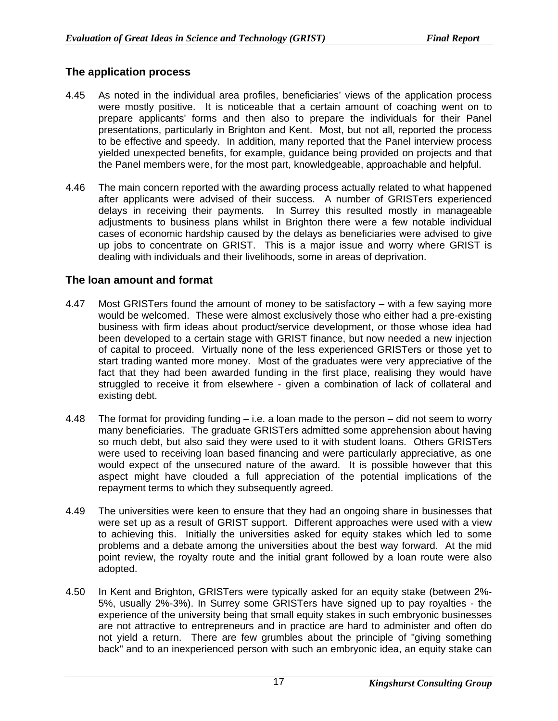## **The application process**

- 4.45 As noted in the individual area profiles, beneficiaries' views of the application process were mostly positive. It is noticeable that a certain amount of coaching went on to prepare applicants' forms and then also to prepare the individuals for their Panel presentations, particularly in Brighton and Kent. Most, but not all, reported the process to be effective and speedy. In addition, many reported that the Panel interview process yielded unexpected benefits, for example, guidance being provided on projects and that the Panel members were, for the most part, knowledgeable, approachable and helpful.
- 4.46 The main concern reported with the awarding process actually related to what happened after applicants were advised of their success. A number of GRISTers experienced delays in receiving their payments. In Surrey this resulted mostly in manageable adjustments to business plans whilst in Brighton there were a few notable individual cases of economic hardship caused by the delays as beneficiaries were advised to give up jobs to concentrate on GRIST. This is a major issue and worry where GRIST is dealing with individuals and their livelihoods, some in areas of deprivation.

## **The loan amount and format**

- 4.47 Most GRISTers found the amount of money to be satisfactory with a few saying more would be welcomed. These were almost exclusively those who either had a pre-existing business with firm ideas about product/service development, or those whose idea had been developed to a certain stage with GRIST finance, but now needed a new injection of capital to proceed. Virtually none of the less experienced GRISTers or those yet to start trading wanted more money. Most of the graduates were very appreciative of the fact that they had been awarded funding in the first place, realising they would have struggled to receive it from elsewhere - given a combination of lack of collateral and existing debt.
- 4.48 The format for providing funding i.e. a loan made to the person did not seem to worry many beneficiaries. The graduate GRISTers admitted some apprehension about having so much debt, but also said they were used to it with student loans. Others GRISTers were used to receiving loan based financing and were particularly appreciative, as one would expect of the unsecured nature of the award. It is possible however that this aspect might have clouded a full appreciation of the potential implications of the repayment terms to which they subsequently agreed.
- 4.49 The universities were keen to ensure that they had an ongoing share in businesses that were set up as a result of GRIST support. Different approaches were used with a view to achieving this. Initially the universities asked for equity stakes which led to some problems and a debate among the universities about the best way forward. At the mid point review, the royalty route and the initial grant followed by a loan route were also adopted.
- 4.50 In Kent and Brighton, GRISTers were typically asked for an equity stake (between 2%- 5%, usually 2%-3%). In Surrey some GRISTers have signed up to pay royalties - the experience of the university being that small equity stakes in such embryonic businesses are not attractive to entrepreneurs and in practice are hard to administer and often do not yield a return. There are few grumbles about the principle of "giving something back" and to an inexperienced person with such an embryonic idea, an equity stake can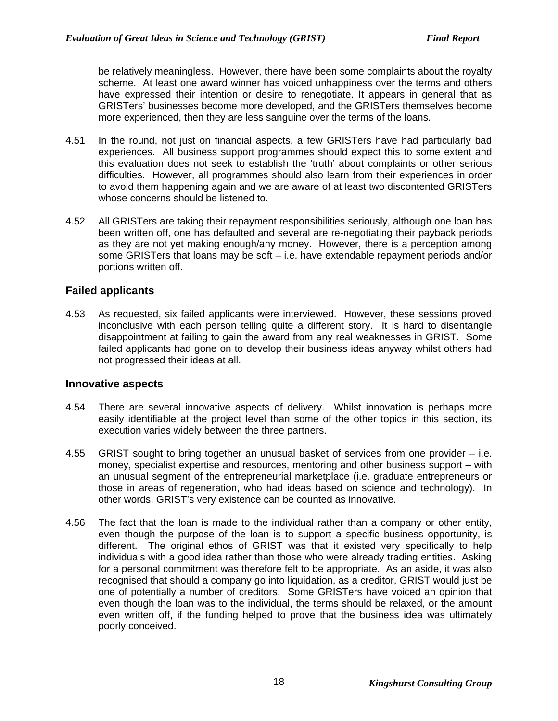be relatively meaningless. However, there have been some complaints about the royalty scheme. At least one award winner has voiced unhappiness over the terms and others have expressed their intention or desire to renegotiate. It appears in general that as GRISTers' businesses become more developed, and the GRISTers themselves become more experienced, then they are less sanguine over the terms of the loans.

- 4.51 In the round, not just on financial aspects, a few GRISTers have had particularly bad experiences. All business support programmes should expect this to some extent and this evaluation does not seek to establish the 'truth' about complaints or other serious difficulties. However, all programmes should also learn from their experiences in order to avoid them happening again and we are aware of at least two discontented GRISTers whose concerns should be listened to.
- 4.52 All GRISTers are taking their repayment responsibilities seriously, although one loan has been written off, one has defaulted and several are re-negotiating their payback periods as they are not yet making enough/any money. However, there is a perception among some GRISTers that loans may be soft – i.e. have extendable repayment periods and/or portions written off.

#### **Failed applicants**

4.53 As requested, six failed applicants were interviewed. However, these sessions proved inconclusive with each person telling quite a different story. It is hard to disentangle disappointment at failing to gain the award from any real weaknesses in GRIST. Some failed applicants had gone on to develop their business ideas anyway whilst others had not progressed their ideas at all.

#### **Innovative aspects**

- 4.54 There are several innovative aspects of delivery. Whilst innovation is perhaps more easily identifiable at the project level than some of the other topics in this section, its execution varies widely between the three partners.
- 4.55 GRIST sought to bring together an unusual basket of services from one provider i.e. money, specialist expertise and resources, mentoring and other business support – with an unusual segment of the entrepreneurial marketplace (i.e. graduate entrepreneurs or those in areas of regeneration, who had ideas based on science and technology). In other words, GRIST's very existence can be counted as innovative.
- 4.56 The fact that the loan is made to the individual rather than a company or other entity, even though the purpose of the loan is to support a specific business opportunity, is different. The original ethos of GRIST was that it existed very specifically to help individuals with a good idea rather than those who were already trading entities. Asking for a personal commitment was therefore felt to be appropriate. As an aside, it was also recognised that should a company go into liquidation, as a creditor, GRIST would just be one of potentially a number of creditors. Some GRISTers have voiced an opinion that even though the loan was to the individual, the terms should be relaxed, or the amount even written off, if the funding helped to prove that the business idea was ultimately poorly conceived.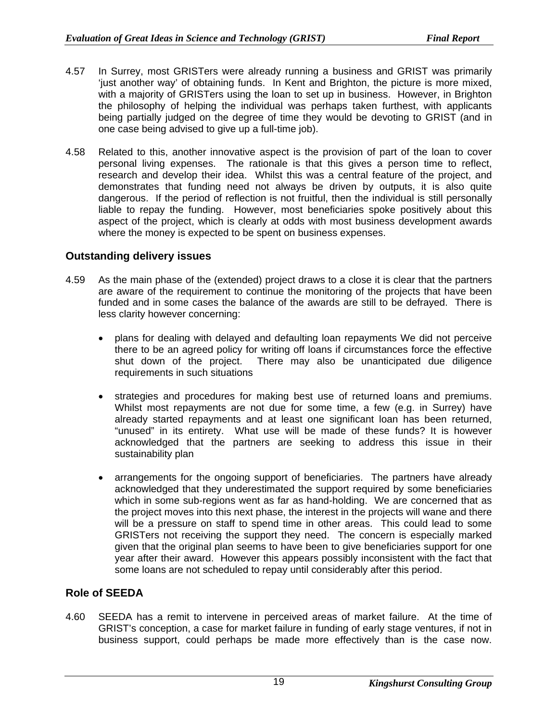- 4.57 In Surrey, most GRISTers were already running a business and GRIST was primarily 'just another way' of obtaining funds. In Kent and Brighton, the picture is more mixed, with a majority of GRISTers using the loan to set up in business. However, in Brighton the philosophy of helping the individual was perhaps taken furthest, with applicants being partially judged on the degree of time they would be devoting to GRIST (and in one case being advised to give up a full-time job).
- 4.58 Related to this, another innovative aspect is the provision of part of the loan to cover personal living expenses. The rationale is that this gives a person time to reflect, research and develop their idea. Whilst this was a central feature of the project, and demonstrates that funding need not always be driven by outputs, it is also quite dangerous. If the period of reflection is not fruitful, then the individual is still personally liable to repay the funding. However, most beneficiaries spoke positively about this aspect of the project, which is clearly at odds with most business development awards where the money is expected to be spent on business expenses.

#### **Outstanding delivery issues**

- 4.59 As the main phase of the (extended) project draws to a close it is clear that the partners are aware of the requirement to continue the monitoring of the projects that have been funded and in some cases the balance of the awards are still to be defrayed. There is less clarity however concerning:
	- plans for dealing with delayed and defaulting loan repayments We did not perceive there to be an agreed policy for writing off loans if circumstances force the effective shut down of the project. There may also be unanticipated due diligence requirements in such situations
	- strategies and procedures for making best use of returned loans and premiums. Whilst most repayments are not due for some time, a few (e.g. in Surrey) have already started repayments and at least one significant loan has been returned, "unused" in its entirety. What use will be made of these funds? It is however acknowledged that the partners are seeking to address this issue in their sustainability plan
	- arrangements for the ongoing support of beneficiaries. The partners have already acknowledged that they underestimated the support required by some beneficiaries which in some sub-regions went as far as hand-holding. We are concerned that as the project moves into this next phase, the interest in the projects will wane and there will be a pressure on staff to spend time in other areas. This could lead to some GRISTers not receiving the support they need. The concern is especially marked given that the original plan seems to have been to give beneficiaries support for one year after their award. However this appears possibly inconsistent with the fact that some loans are not scheduled to repay until considerably after this period.

#### **Role of SEEDA**

4.60 SEEDA has a remit to intervene in perceived areas of market failure. At the time of GRIST's conception, a case for market failure in funding of early stage ventures, if not in business support, could perhaps be made more effectively than is the case now.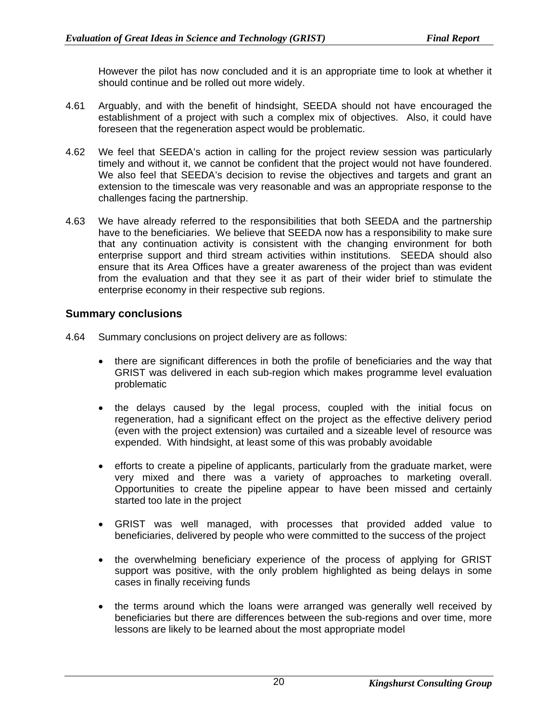However the pilot has now concluded and it is an appropriate time to look at whether it should continue and be rolled out more widely.

- 4.61 Arguably, and with the benefit of hindsight, SEEDA should not have encouraged the establishment of a project with such a complex mix of objectives. Also, it could have foreseen that the regeneration aspect would be problematic.
- 4.62 We feel that SEEDA's action in calling for the project review session was particularly timely and without it, we cannot be confident that the project would not have foundered. We also feel that SEEDA's decision to revise the objectives and targets and grant an extension to the timescale was very reasonable and was an appropriate response to the challenges facing the partnership.
- 4.63 We have already referred to the responsibilities that both SEEDA and the partnership have to the beneficiaries. We believe that SEEDA now has a responsibility to make sure that any continuation activity is consistent with the changing environment for both enterprise support and third stream activities within institutions. SEEDA should also ensure that its Area Offices have a greater awareness of the project than was evident from the evaluation and that they see it as part of their wider brief to stimulate the enterprise economy in their respective sub regions.

#### **Summary conclusions**

- 4.64 Summary conclusions on project delivery are as follows:
	- there are significant differences in both the profile of beneficiaries and the way that GRIST was delivered in each sub-region which makes programme level evaluation problematic
	- the delays caused by the legal process, coupled with the initial focus on regeneration, had a significant effect on the project as the effective delivery period (even with the project extension) was curtailed and a sizeable level of resource was expended. With hindsight, at least some of this was probably avoidable
	- efforts to create a pipeline of applicants, particularly from the graduate market, were very mixed and there was a variety of approaches to marketing overall. Opportunities to create the pipeline appear to have been missed and certainly started too late in the project
	- GRIST was well managed, with processes that provided added value to beneficiaries, delivered by people who were committed to the success of the project
	- the overwhelming beneficiary experience of the process of applying for GRIST support was positive, with the only problem highlighted as being delays in some cases in finally receiving funds
	- the terms around which the loans were arranged was generally well received by beneficiaries but there are differences between the sub-regions and over time, more lessons are likely to be learned about the most appropriate model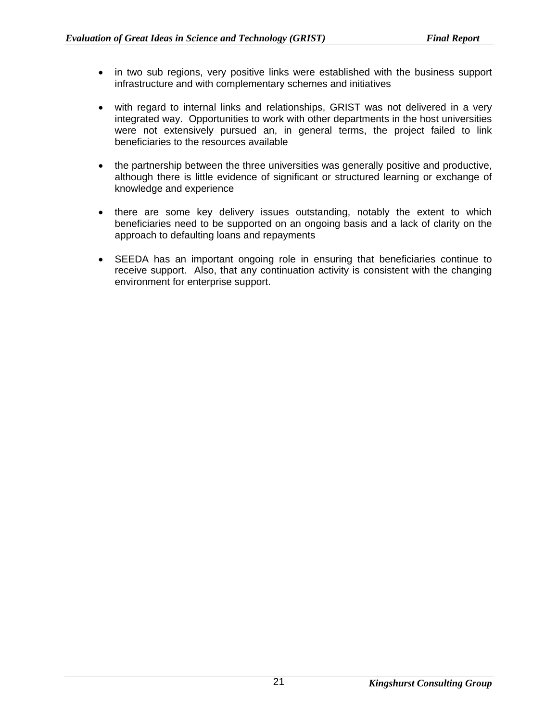- in two sub regions, very positive links were established with the business support infrastructure and with complementary schemes and initiatives
- with regard to internal links and relationships, GRIST was not delivered in a very integrated way. Opportunities to work with other departments in the host universities were not extensively pursued an, in general terms, the project failed to link beneficiaries to the resources available
- the partnership between the three universities was generally positive and productive, although there is little evidence of significant or structured learning or exchange of knowledge and experience
- there are some key delivery issues outstanding, notably the extent to which beneficiaries need to be supported on an ongoing basis and a lack of clarity on the approach to defaulting loans and repayments
- SEEDA has an important ongoing role in ensuring that beneficiaries continue to receive support. Also, that any continuation activity is consistent with the changing environment for enterprise support.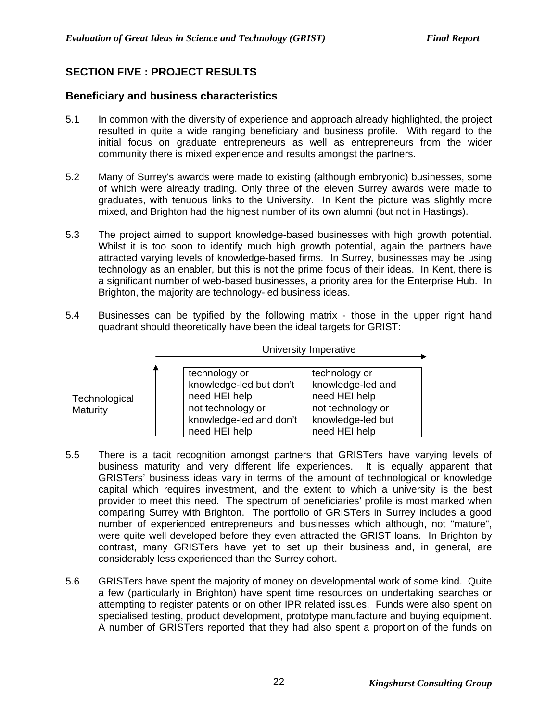## **SECTION FIVE : PROJECT RESULTS**

**Technological Maturity** 

## **Beneficiary and business characteristics**

- 5.1 In common with the diversity of experience and approach already highlighted, the project resulted in quite a wide ranging beneficiary and business profile. With regard to the initial focus on graduate entrepreneurs as well as entrepreneurs from the wider community there is mixed experience and results amongst the partners.
- 5.2 Many of Surrey's awards were made to existing (although embryonic) businesses, some of which were already trading. Only three of the eleven Surrey awards were made to graduates, with tenuous links to the University. In Kent the picture was slightly more mixed, and Brighton had the highest number of its own alumni (but not in Hastings).
- 5.3 The project aimed to support knowledge-based businesses with high growth potential. Whilst it is too soon to identify much high growth potential, again the partners have attracted varying levels of knowledge-based firms. In Surrey, businesses may be using technology as an enabler, but this is not the prime focus of their ideas. In Kent, there is a significant number of web-based businesses, a priority area for the Enterprise Hub. In Brighton, the majority are technology-led business ideas.
- 5.4 Businesses can be typified by the following matrix those in the upper right hand quadrant should theoretically have been the ideal targets for GRIST:

| Δ | technology or           | technology or     |
|---|-------------------------|-------------------|
|   | knowledge-led but don't | knowledge-led and |
|   | need HEI help           | need HEI help     |
|   | not technology or       | not technology or |
|   | knowledge-led and don't | knowledge-led but |
|   | need HEI help           | need HEI help     |

University Imperative

- 5.5 There is a tacit recognition amongst partners that GRISTers have varying levels of business maturity and very different life experiences. It is equally apparent that GRISTers' business ideas vary in terms of the amount of technological or knowledge capital which requires investment, and the extent to which a university is the best provider to meet this need. The spectrum of beneficiaries' profile is most marked when comparing Surrey with Brighton. The portfolio of GRISTers in Surrey includes a good number of experienced entrepreneurs and businesses which although, not "mature", were quite well developed before they even attracted the GRIST loans. In Brighton by contrast, many GRISTers have yet to set up their business and, in general, are considerably less experienced than the Surrey cohort.
- 5.6 GRISTers have spent the majority of money on developmental work of some kind. Quite a few (particularly in Brighton) have spent time resources on undertaking searches or attempting to register patents or on other IPR related issues. Funds were also spent on specialised testing, product development, prototype manufacture and buying equipment. A number of GRISTers reported that they had also spent a proportion of the funds on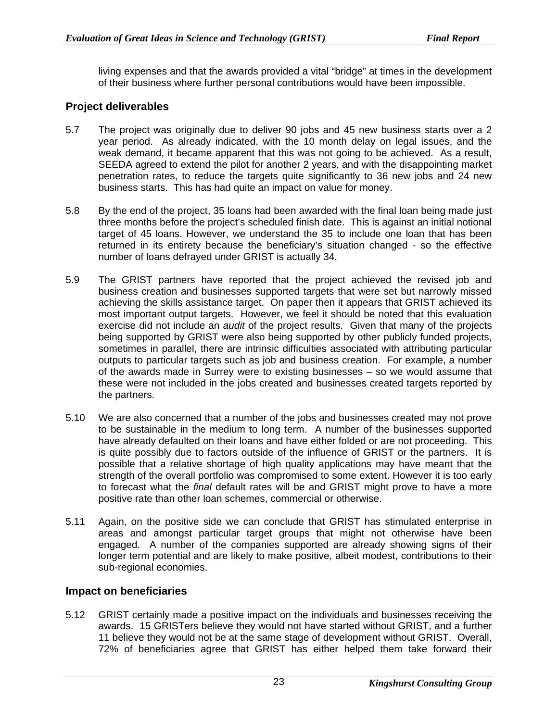living expenses and that the awards provided a vital "bridge" at times in the development of their business where further personal contributions would have been impossible.

### **Project deliverables**

- 5.7 The project was originally due to deliver 90 jobs and 45 new business starts over a 2 year period. As already indicated, with the 10 month delay on legal issues, and the weak demand, it became apparent that this was not going to be achieved. As a result, SEEDA agreed to extend the pilot for another 2 years, and with the disappointing market penetration rates, to reduce the targets quite significantly to 36 new jobs and 24 new business starts. This has had quite an impact on value for money.
- 5.8 By the end of the project, 35 loans had been awarded with the final loan being made just three months before the project's scheduled finish date. This is against an initial notional target of 45 loans. However, we understand the 35 to include one loan that has been returned in its entirety because the beneficiary's situation changed - so the effective number of loans defrayed under GRIST is actually 34.
- 5.9 The GRIST partners have reported that the project achieved the revised job and business creation and businesses supported targets that were set but narrowly missed achieving the skills assistance target. On paper then it appears that GRIST achieved its most important output targets. However, we feel it should be noted that this evaluation exercise did not include an *audit* of the project results. Given that many of the projects being supported by GRIST were also being supported by other publicly funded projects, sometimes in parallel, there are intrinsic difficulties associated with attributing particular outputs to particular targets such as job and business creation. For example, a number of the awards made in Surrey were to existing businesses – so we would assume that these were not included in the jobs created and businesses created targets reported by the partners.
- 5.10 We are also concerned that a number of the jobs and businesses created may not prove to be sustainable in the medium to long term. A number of the businesses supported have already defaulted on their loans and have either folded or are not proceeding. This is quite possibly due to factors outside of the influence of GRIST or the partners. It is possible that a relative shortage of high quality applications may have meant that the strength of the overall portfolio was compromised to some extent. However it is too early to forecast what the *final* default rates will be and GRIST might prove to have a more positive rate than other loan schemes, commercial or otherwise.
- 5.11 Again, on the positive side we can conclude that GRIST has stimulated enterprise in areas and amongst particular target groups that might not otherwise have been engaged. A number of the companies supported are already showing signs of their longer term potential and are likely to make positive, albeit modest, contributions to their sub-regional economies.

#### **Impact on beneficiaries**

5.12 GRIST certainly made a positive impact on the individuals and businesses receiving the awards. 15 GRISTers believe they would not have started without GRIST, and a further 11 believe they would not be at the same stage of development without GRIST. Overall, 72% of beneficiaries agree that GRIST has either helped them take forward their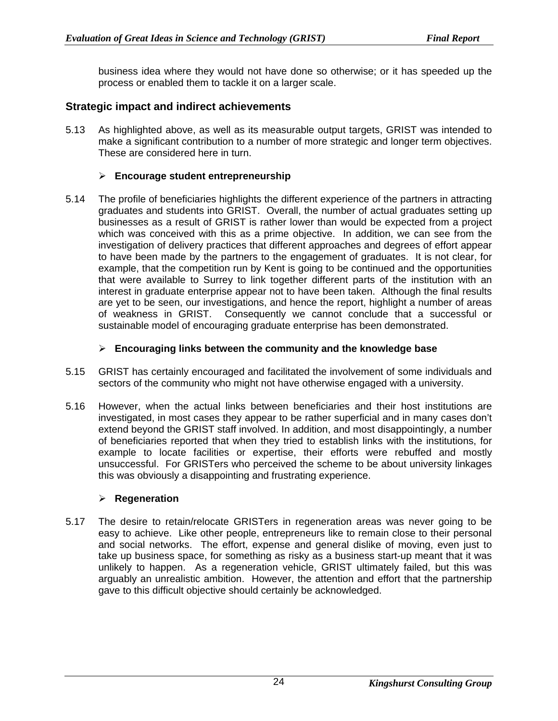business idea where they would not have done so otherwise; or it has speeded up the process or enabled them to tackle it on a larger scale.

#### **Strategic impact and indirect achievements**

5.13 As highlighted above, as well as its measurable output targets, GRIST was intended to make a significant contribution to a number of more strategic and longer term objectives. These are considered here in turn.

#### ¾ **Encourage student entrepreneurship**

5.14 The profile of beneficiaries highlights the different experience of the partners in attracting graduates and students into GRIST. Overall, the number of actual graduates setting up businesses as a result of GRIST is rather lower than would be expected from a project which was conceived with this as a prime objective. In addition, we can see from the investigation of delivery practices that different approaches and degrees of effort appear to have been made by the partners to the engagement of graduates. It is not clear, for example, that the competition run by Kent is going to be continued and the opportunities that were available to Surrey to link together different parts of the institution with an interest in graduate enterprise appear not to have been taken. Although the final results are yet to be seen, our investigations, and hence the report, highlight a number of areas of weakness in GRIST. Consequently we cannot conclude that a successful or sustainable model of encouraging graduate enterprise has been demonstrated.

#### ¾ **Encouraging links between the community and the knowledge base**

- 5.15 GRIST has certainly encouraged and facilitated the involvement of some individuals and sectors of the community who might not have otherwise engaged with a university.
- 5.16 However, when the actual links between beneficiaries and their host institutions are investigated, in most cases they appear to be rather superficial and in many cases don't extend beyond the GRIST staff involved. In addition, and most disappointingly, a number of beneficiaries reported that when they tried to establish links with the institutions, for example to locate facilities or expertise, their efforts were rebuffed and mostly unsuccessful. For GRISTers who perceived the scheme to be about university linkages this was obviously a disappointing and frustrating experience.

#### ¾ **Regeneration**

5.17 The desire to retain/relocate GRISTers in regeneration areas was never going to be easy to achieve. Like other people, entrepreneurs like to remain close to their personal and social networks. The effort, expense and general dislike of moving, even just to take up business space, for something as risky as a business start-up meant that it was unlikely to happen. As a regeneration vehicle, GRIST ultimately failed, but this was arguably an unrealistic ambition. However, the attention and effort that the partnership gave to this difficult objective should certainly be acknowledged.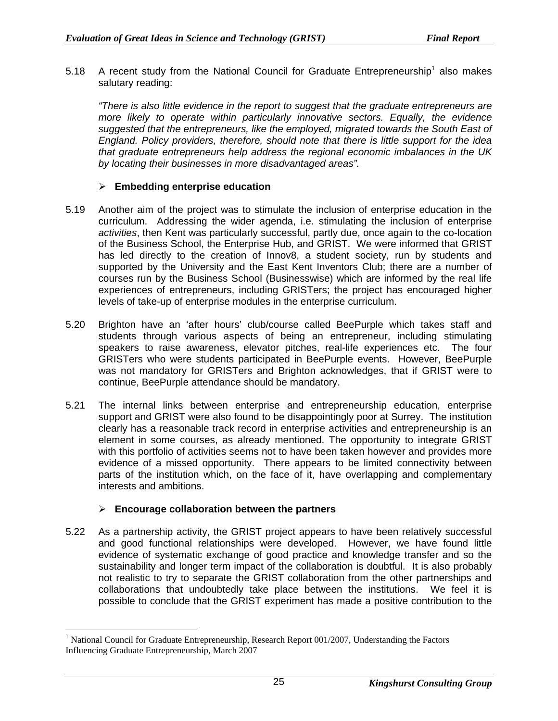5.[1](#page-30-0)8 A recent study from the National Council for Graduate Entrepreneurship<sup>1</sup> also makes salutary reading:

*"There is also little evidence in the report to suggest that the graduate entrepreneurs are more likely to operate within particularly innovative sectors. Equally, the evidence suggested that the entrepreneurs, like the employed, migrated towards the South East of England. Policy providers, therefore, should note that there is little support for the idea that graduate entrepreneurs help address the regional economic imbalances in the UK by locating their businesses in more disadvantaged areas".*

#### ¾ **Embedding enterprise education**

- 5.19 Another aim of the project was to stimulate the inclusion of enterprise education in the curriculum. Addressing the wider agenda, i.e. stimulating the inclusion of enterprise *activities*, then Kent was particularly successful, partly due, once again to the co-location of the Business School, the Enterprise Hub, and GRIST. We were informed that GRIST has led directly to the creation of Innov8, a student society, run by students and supported by the University and the East Kent Inventors Club; there are a number of courses run by the Business School (Businesswise) which are informed by the real life experiences of entrepreneurs, including GRISTers; the project has encouraged higher levels of take-up of enterprise modules in the enterprise curriculum.
- 5.20 Brighton have an 'after hours' club/course called BeePurple which takes staff and students through various aspects of being an entrepreneur, including stimulating speakers to raise awareness, elevator pitches, real-life experiences etc. The four GRISTers who were students participated in BeePurple events. However, BeePurple was not mandatory for GRISTers and Brighton acknowledges, that if GRIST were to continue, BeePurple attendance should be mandatory.
- 5.21 The internal links between enterprise and entrepreneurship education, enterprise support and GRIST were also found to be disappointingly poor at Surrey. The institution clearly has a reasonable track record in enterprise activities and entrepreneurship is an element in some courses, as already mentioned. The opportunity to integrate GRIST with this portfolio of activities seems not to have been taken however and provides more evidence of a missed opportunity. There appears to be limited connectivity between parts of the institution which, on the face of it, have overlapping and complementary interests and ambitions.

#### ¾ **Encourage collaboration between the partners**

5.22 As a partnership activity, the GRIST project appears to have been relatively successful and good functional relationships were developed. However, we have found little evidence of systematic exchange of good practice and knowledge transfer and so the sustainability and longer term impact of the collaboration is doubtful. It is also probably not realistic to try to separate the GRIST collaboration from the other partnerships and collaborations that undoubtedly take place between the institutions. We feel it is possible to conclude that the GRIST experiment has made a positive contribution to the

<span id="page-30-0"></span> $\frac{1}{1}$  $1$  National Council for Graduate Entrepreneurship, Research Report 001/2007, Understanding the Factors Influencing Graduate Entrepreneurship, March 2007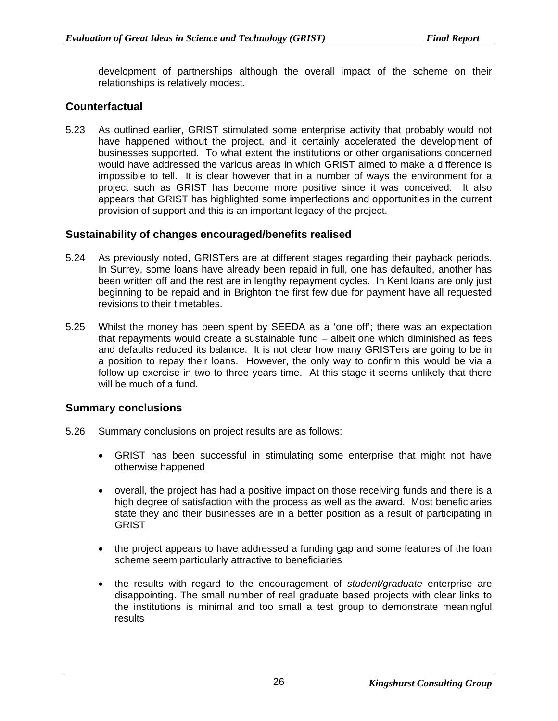development of partnerships although the overall impact of the scheme on their relationships is relatively modest.

## **Counterfactual**

5.23 As outlined earlier, GRIST stimulated some enterprise activity that probably would not have happened without the project, and it certainly accelerated the development of businesses supported. To what extent the institutions or other organisations concerned would have addressed the various areas in which GRIST aimed to make a difference is impossible to tell. It is clear however that in a number of ways the environment for a project such as GRIST has become more positive since it was conceived. It also appears that GRIST has highlighted some imperfections and opportunities in the current provision of support and this is an important legacy of the project.

#### **Sustainability of changes encouraged/benefits realised**

- 5.24 As previously noted, GRISTers are at different stages regarding their payback periods. In Surrey, some loans have already been repaid in full, one has defaulted, another has been written off and the rest are in lengthy repayment cycles. In Kent loans are only just beginning to be repaid and in Brighton the first few due for payment have all requested revisions to their timetables.
- 5.25 Whilst the money has been spent by SEEDA as a 'one off'; there was an expectation that repayments would create a sustainable fund – albeit one which diminished as fees and defaults reduced its balance. It is not clear how many GRISTers are going to be in a position to repay their loans. However, the only way to confirm this would be via a follow up exercise in two to three years time. At this stage it seems unlikely that there will be much of a fund.

#### **Summary conclusions**

- 5.26 Summary conclusions on project results are as follows:
	- GRIST has been successful in stimulating some enterprise that might not have otherwise happened
	- overall, the project has had a positive impact on those receiving funds and there is a high degree of satisfaction with the process as well as the award. Most beneficiaries state they and their businesses are in a better position as a result of participating in **GRIST**
	- the project appears to have addressed a funding gap and some features of the loan scheme seem particularly attractive to beneficiaries
	- the results with regard to the encouragement of *student/graduate* enterprise are disappointing. The small number of real graduate based projects with clear links to the institutions is minimal and too small a test group to demonstrate meaningful results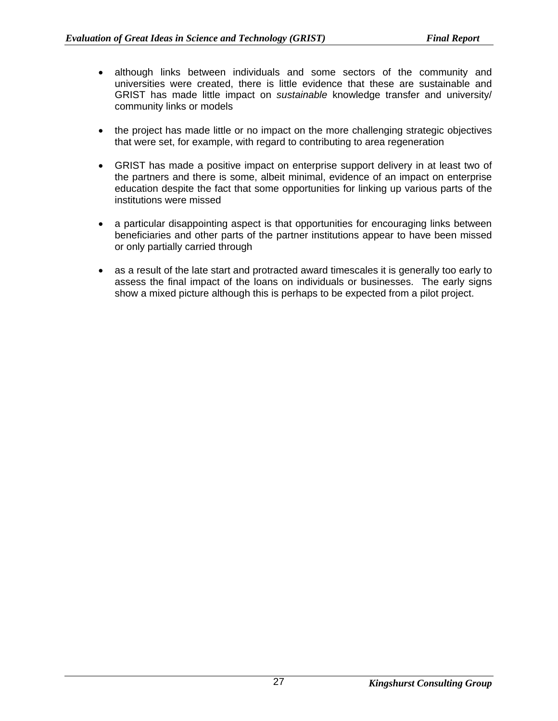- although links between individuals and some sectors of the community and universities were created, there is little evidence that these are sustainable and GRIST has made little impact on *sustainable* knowledge transfer and university/ community links or models
- the project has made little or no impact on the more challenging strategic objectives that were set, for example, with regard to contributing to area regeneration
- GRIST has made a positive impact on enterprise support delivery in at least two of the partners and there is some, albeit minimal, evidence of an impact on enterprise education despite the fact that some opportunities for linking up various parts of the institutions were missed
- a particular disappointing aspect is that opportunities for encouraging links between beneficiaries and other parts of the partner institutions appear to have been missed or only partially carried through
- as a result of the late start and protracted award timescales it is generally too early to assess the final impact of the loans on individuals or businesses. The early signs show a mixed picture although this is perhaps to be expected from a pilot project.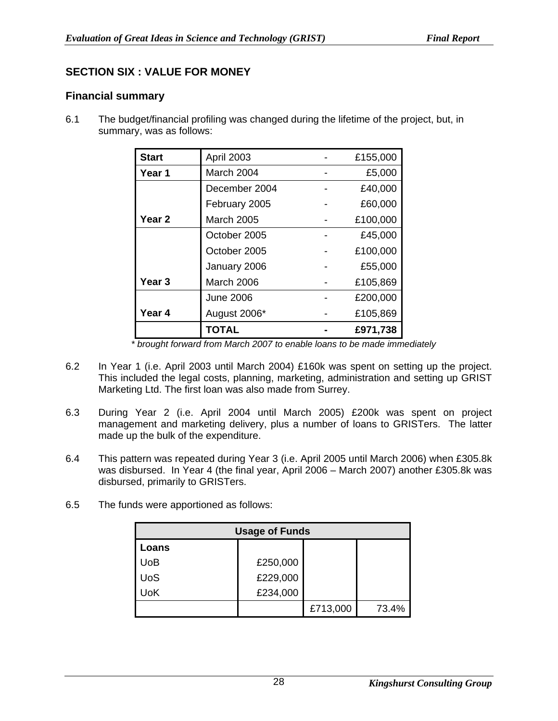## **SECTION SIX : VALUE FOR MONEY**

## **Financial summary**

6.1 The budget/financial profiling was changed during the lifetime of the project, but, in summary, was as follows:

| <b>Start</b> | April 2003        | £155,000 |
|--------------|-------------------|----------|
| Year 1       | March 2004        | £5,000   |
|              | December 2004     | £40,000  |
|              | February 2005     | £60,000  |
| Year 2       | <b>March 2005</b> | £100,000 |
|              | October 2005      | £45,000  |
|              | October 2005      | £100,000 |
|              | January 2006      | £55,000  |
| Year 3       | March 2006        | £105,869 |
|              | <b>June 2006</b>  | £200,000 |
| Year 4       | August 2006*      | £105,869 |
|              | TOTAL             | £971,738 |

*\* brought forward from March 2007 to enable loans to be made immediately* 

- 6.2 In Year 1 (i.e. April 2003 until March 2004) £160k was spent on setting up the project. This included the legal costs, planning, marketing, administration and setting up GRIST Marketing Ltd. The first loan was also made from Surrey.
- 6.3 During Year 2 (i.e. April 2004 until March 2005) £200k was spent on project management and marketing delivery, plus a number of loans to GRISTers. The latter made up the bulk of the expenditure.
- 6.4 This pattern was repeated during Year 3 (i.e. April 2005 until March 2006) when £305.8k was disbursed. In Year 4 (the final year, April 2006 – March 2007) another £305.8k was disbursed, primarily to GRISTers.
- 6.5 The funds were apportioned as follows:

| <b>Usage of Funds</b> |          |          |       |
|-----------------------|----------|----------|-------|
| Loans                 |          |          |       |
| <b>UoB</b>            | £250,000 |          |       |
| <b>UoS</b>            | £229,000 |          |       |
| UoK                   | £234,000 |          |       |
|                       |          | £713,000 | 73.4% |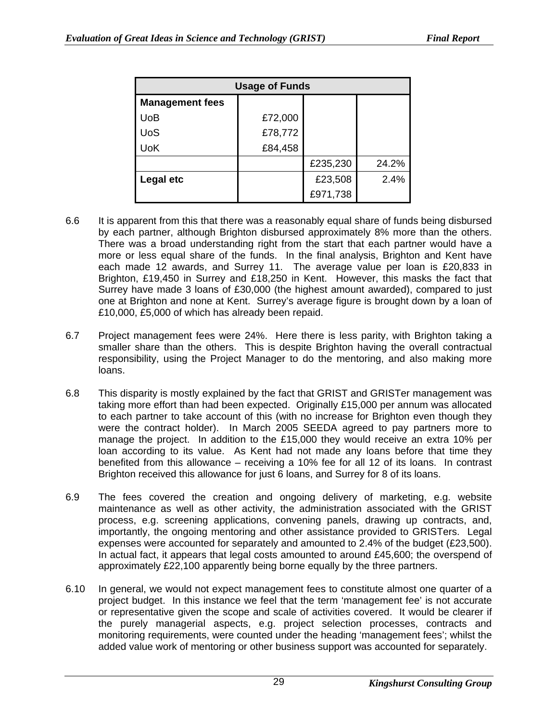| <b>Usage of Funds</b>  |         |          |       |
|------------------------|---------|----------|-------|
| <b>Management fees</b> |         |          |       |
| UoB                    | £72,000 |          |       |
| <b>UoS</b>             | £78,772 |          |       |
| <b>UoK</b>             | £84,458 |          |       |
|                        |         | £235,230 | 24.2% |
| Legal etc              |         | £23,508  | 2.4%  |
|                        |         | £971,738 |       |

- 6.6 It is apparent from this that there was a reasonably equal share of funds being disbursed by each partner, although Brighton disbursed approximately 8% more than the others. There was a broad understanding right from the start that each partner would have a more or less equal share of the funds. In the final analysis, Brighton and Kent have each made 12 awards, and Surrey 11. The average value per loan is £20,833 in Brighton, £19,450 in Surrey and £18,250 in Kent. However, this masks the fact that Surrey have made 3 loans of £30,000 (the highest amount awarded), compared to just one at Brighton and none at Kent. Surrey's average figure is brought down by a loan of £10,000, £5,000 of which has already been repaid.
- 6.7 Project management fees were 24%. Here there is less parity, with Brighton taking a smaller share than the others. This is despite Brighton having the overall contractual responsibility, using the Project Manager to do the mentoring, and also making more loans.
- 6.8 This disparity is mostly explained by the fact that GRIST and GRISTer management was taking more effort than had been expected. Originally £15,000 per annum was allocated to each partner to take account of this (with no increase for Brighton even though they were the contract holder). In March 2005 SEEDA agreed to pay partners more to manage the project. In addition to the £15,000 they would receive an extra 10% per loan according to its value. As Kent had not made any loans before that time they benefited from this allowance – receiving a 10% fee for all 12 of its loans. In contrast Brighton received this allowance for just 6 loans, and Surrey for 8 of its loans.
- 6.9 The fees covered the creation and ongoing delivery of marketing, e.g. website maintenance as well as other activity, the administration associated with the GRIST process, e.g. screening applications, convening panels, drawing up contracts, and, importantly, the ongoing mentoring and other assistance provided to GRISTers. Legal expenses were accounted for separately and amounted to 2.4% of the budget (£23,500). In actual fact, it appears that legal costs amounted to around £45,600; the overspend of approximately £22,100 apparently being borne equally by the three partners.
- 6.10 In general, we would not expect management fees to constitute almost one quarter of a project budget. In this instance we feel that the term 'management fee' is not accurate or representative given the scope and scale of activities covered. It would be clearer if the purely managerial aspects, e.g. project selection processes, contracts and monitoring requirements, were counted under the heading 'management fees'; whilst the added value work of mentoring or other business support was accounted for separately.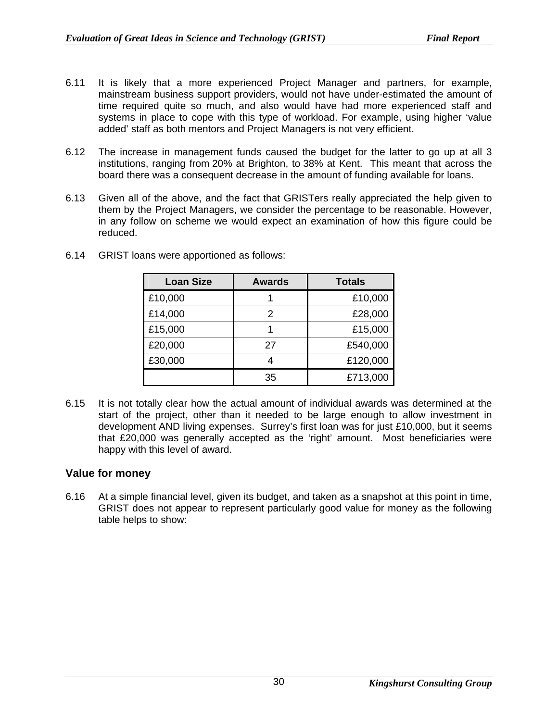- 6.11 It is likely that a more experienced Project Manager and partners, for example, mainstream business support providers, would not have under-estimated the amount of time required quite so much, and also would have had more experienced staff and systems in place to cope with this type of workload. For example, using higher 'value added' staff as both mentors and Project Managers is not very efficient.
- 6.12 The increase in management funds caused the budget for the latter to go up at all 3 institutions, ranging from 20% at Brighton, to 38% at Kent. This meant that across the board there was a consequent decrease in the amount of funding available for loans.
- 6.13 Given all of the above, and the fact that GRISTers really appreciated the help given to them by the Project Managers, we consider the percentage to be reasonable. However, in any follow on scheme we would expect an examination of how this figure could be reduced.

| <b>Loan Size</b> | <b>Awards</b> | <b>Totals</b> |
|------------------|---------------|---------------|
| £10,000          |               | £10,000       |
| £14,000          | 2             | £28,000       |
| £15,000          |               | £15,000       |
| £20,000          | 27            | £540,000      |
| £30,000          |               | £120,000      |
|                  | 35            | £713,000      |

6.14 GRIST loans were apportioned as follows:

6.15 It is not totally clear how the actual amount of individual awards was determined at the start of the project, other than it needed to be large enough to allow investment in development AND living expenses. Surrey's first loan was for just £10,000, but it seems that £20,000 was generally accepted as the 'right' amount. Most beneficiaries were happy with this level of award.

## **Value for money**

6.16 At a simple financial level, given its budget, and taken as a snapshot at this point in time, GRIST does not appear to represent particularly good value for money as the following table helps to show: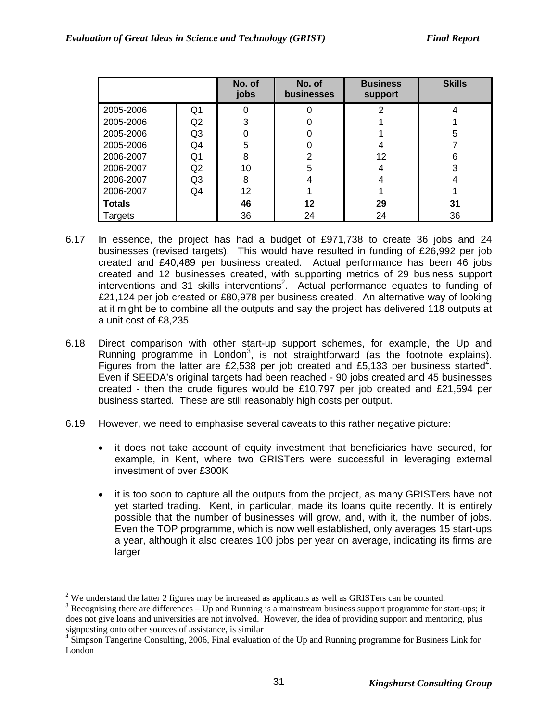|               |                | No. of<br>jobs | No. of<br><b>businesses</b> | <b>Business</b><br>support | <b>Skills</b> |
|---------------|----------------|----------------|-----------------------------|----------------------------|---------------|
| 2005-2006     | Q <sub>1</sub> | 0              |                             | 2                          |               |
| 2005-2006     | Q2             | 3              |                             |                            |               |
| 2005-2006     | Q <sub>3</sub> | 0              |                             |                            | 5             |
| 2005-2006     | Q4             | 5              |                             | 4                          |               |
| 2006-2007     | Q1             | 8              | 2                           | 12                         | 6             |
| 2006-2007     | Q2             | 10             | 5                           | 4                          | 3             |
| 2006-2007     | Q <sub>3</sub> | 8              |                             |                            |               |
| 2006-2007     | Q4             | 12             |                             |                            |               |
| <b>Totals</b> |                | 46             | 12                          | 29                         | 31            |
| Targets       |                | 36             | 24                          | 24                         | 36            |

- 6.17 In essence, the project has had a budget of £971,738 to create 36 jobs and 24 businesses (revised targets). This would have resulted in funding of £26,992 per job created and £40,489 per business created. Actual performance has been 46 jobs created and 12 businesses created, with supporting metrics of 29 business support interventions and 31 skills interventions<sup>2</sup>. Actual performance equates to funding of £21,124 per job created or £80,978 per business created. An alternative way of looking at it might be to combine all the outputs and say the project has delivered 118 outputs at a unit cost of £8,235.
- 6.18 Direct comparison with other start-up support schemes, for example, the Up and Running programme in London<sup>[3](#page-36-1)</sup>, is not straightforward (as the footnote explains). Figures from the latter are £2,538 per job created and £5,133 per business started<sup>[4](#page-36-2)</sup>. Even if SEEDA's original targets had been reached - 90 jobs created and 45 businesses created - then the crude figures would be £10,797 per job created and £21,594 per business started. These are still reasonably high costs per output.
- 6.19 However, we need to emphasise several caveats to this rather negative picture:
	- it does not take account of equity investment that beneficiaries have secured, for example, in Kent, where two GRISTers were successful in leveraging external investment of over £300K
	- it is too soon to capture all the outputs from the project, as many GRISTers have not yet started trading. Kent, in particular, made its loans quite recently. It is entirely possible that the number of businesses will grow, and, with it, the number of jobs. Even the TOP programme, which is now well established, only averages 15 start-ups a year, although it also creates 100 jobs per year on average, indicating its firms are larger

<span id="page-36-0"></span> $2$  We understand the latter 2 figures may be increased as applicants as well as GRISTers can be counted.

<span id="page-36-1"></span><sup>&</sup>lt;sup>3</sup> Recognising there are differences – Up and Running is a mainstream business support programme for start-ups; it does not give loans and universities are not involved. However, the idea of providing support and mentoring, plus signposting onto other sources of assistance, is similar

<span id="page-36-2"></span><sup>&</sup>lt;sup>4</sup> Simpson Tangerine Consulting, 2006, Final evaluation of the Up and Running programme for Business Link for London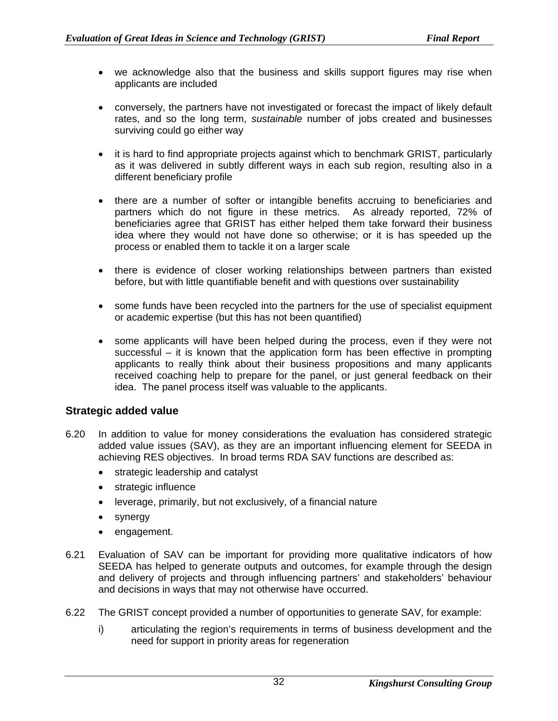- we acknowledge also that the business and skills support figures may rise when applicants are included
- conversely, the partners have not investigated or forecast the impact of likely default rates, and so the long term, *sustainable* number of jobs created and businesses surviving could go either way
- it is hard to find appropriate projects against which to benchmark GRIST, particularly as it was delivered in subtly different ways in each sub region, resulting also in a different beneficiary profile
- there are a number of softer or intangible benefits accruing to beneficiaries and partners which do not figure in these metrics. As already reported, 72% of beneficiaries agree that GRIST has either helped them take forward their business idea where they would not have done so otherwise; or it is has speeded up the process or enabled them to tackle it on a larger scale
- there is evidence of closer working relationships between partners than existed before, but with little quantifiable benefit and with questions over sustainability
- some funds have been recycled into the partners for the use of specialist equipment or academic expertise (but this has not been quantified)
- some applicants will have been helped during the process, even if they were not successful – it is known that the application form has been effective in prompting applicants to really think about their business propositions and many applicants received coaching help to prepare for the panel, or just general feedback on their idea. The panel process itself was valuable to the applicants.

#### **Strategic added value**

- 6.20 In addition to value for money considerations the evaluation has considered strategic added value issues (SAV), as they are an important influencing element for SEEDA in achieving RES objectives. In broad terms RDA SAV functions are described as:
	- strategic leadership and catalyst
	- strategic influence
	- leverage, primarily, but not exclusively, of a financial nature
	- synergy
	- engagement.
- 6.21 Evaluation of SAV can be important for providing more qualitative indicators of how SEEDA has helped to generate outputs and outcomes, for example through the design and delivery of projects and through influencing partners' and stakeholders' behaviour and decisions in ways that may not otherwise have occurred.
- 6.22 The GRIST concept provided a number of opportunities to generate SAV, for example:
	- i) articulating the region's requirements in terms of business development and the need for support in priority areas for regeneration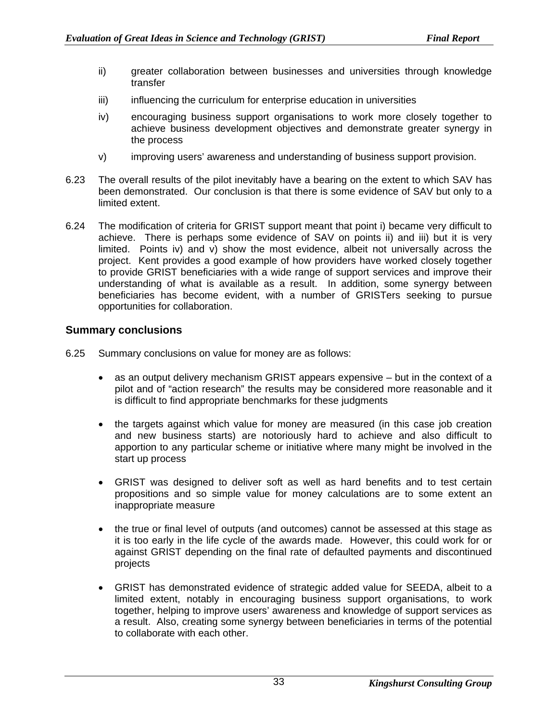- ii) greater collaboration between businesses and universities through knowledge transfer
- iii) influencing the curriculum for enterprise education in universities
- iv) encouraging business support organisations to work more closely together to achieve business development objectives and demonstrate greater synergy in the process
- v) improving users' awareness and understanding of business support provision.
- 6.23 The overall results of the pilot inevitably have a bearing on the extent to which SAV has been demonstrated. Our conclusion is that there is some evidence of SAV but only to a limited extent.
- 6.24 The modification of criteria for GRIST support meant that point i) became very difficult to achieve. There is perhaps some evidence of SAV on points ii) and iii) but it is very limited. Points iv) and v) show the most evidence, albeit not universally across the project. Kent provides a good example of how providers have worked closely together to provide GRIST beneficiaries with a wide range of support services and improve their understanding of what is available as a result. In addition, some synergy between beneficiaries has become evident, with a number of GRISTers seeking to pursue opportunities for collaboration.

#### **Summary conclusions**

- 6.25 Summary conclusions on value for money are as follows:
	- as an output delivery mechanism GRIST appears expensive but in the context of a pilot and of "action research" the results may be considered more reasonable and it is difficult to find appropriate benchmarks for these judgments
	- the targets against which value for money are measured (in this case job creation and new business starts) are notoriously hard to achieve and also difficult to apportion to any particular scheme or initiative where many might be involved in the start up process
	- GRIST was designed to deliver soft as well as hard benefits and to test certain propositions and so simple value for money calculations are to some extent an inappropriate measure
	- the true or final level of outputs (and outcomes) cannot be assessed at this stage as it is too early in the life cycle of the awards made. However, this could work for or against GRIST depending on the final rate of defaulted payments and discontinued projects
	- GRIST has demonstrated evidence of strategic added value for SEEDA, albeit to a limited extent, notably in encouraging business support organisations, to work together, helping to improve users' awareness and knowledge of support services as a result. Also, creating some synergy between beneficiaries in terms of the potential to collaborate with each other.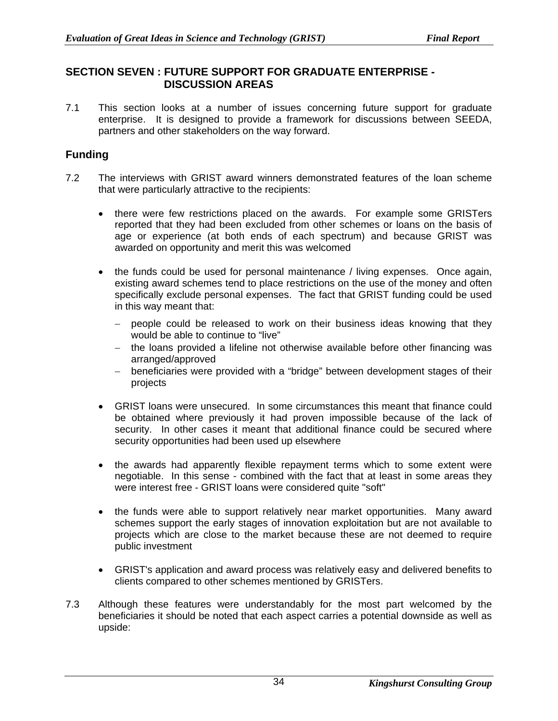#### **SECTION SEVEN : FUTURE SUPPORT FOR GRADUATE ENTERPRISE - DISCUSSION AREAS**

7.1 This section looks at a number of issues concerning future support for graduate enterprise. It is designed to provide a framework for discussions between SEEDA, partners and other stakeholders on the way forward.

### **Funding**

- 7.2 The interviews with GRIST award winners demonstrated features of the loan scheme that were particularly attractive to the recipients:
	- there were few restrictions placed on the awards. For example some GRISTers reported that they had been excluded from other schemes or loans on the basis of age or experience (at both ends of each spectrum) and because GRIST was awarded on opportunity and merit this was welcomed
	- the funds could be used for personal maintenance / living expenses. Once again, existing award schemes tend to place restrictions on the use of the money and often specifically exclude personal expenses. The fact that GRIST funding could be used in this way meant that:
		- − people could be released to work on their business ideas knowing that they would be able to continue to "live"
		- − the loans provided a lifeline not otherwise available before other financing was arranged/approved
		- − beneficiaries were provided with a "bridge" between development stages of their projects
	- GRIST loans were unsecured. In some circumstances this meant that finance could be obtained where previously it had proven impossible because of the lack of security. In other cases it meant that additional finance could be secured where security opportunities had been used up elsewhere
	- the awards had apparently flexible repayment terms which to some extent were negotiable. In this sense - combined with the fact that at least in some areas they were interest free - GRIST loans were considered quite "soft"
	- the funds were able to support relatively near market opportunities. Many award schemes support the early stages of innovation exploitation but are not available to projects which are close to the market because these are not deemed to require public investment
	- GRIST's application and award process was relatively easy and delivered benefits to clients compared to other schemes mentioned by GRISTers.
- 7.3 Although these features were understandably for the most part welcomed by the beneficiaries it should be noted that each aspect carries a potential downside as well as upside: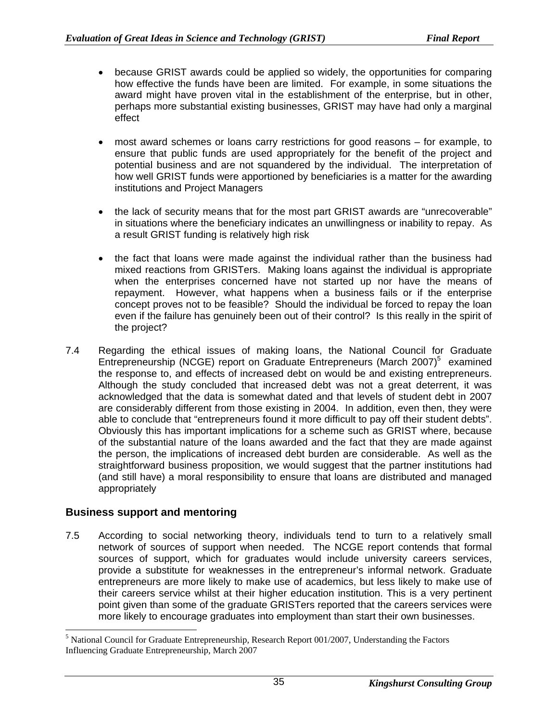- because GRIST awards could be applied so widely, the opportunities for comparing how effective the funds have been are limited. For example, in some situations the award might have proven vital in the establishment of the enterprise, but in other, perhaps more substantial existing businesses, GRIST may have had only a marginal effect
- most award schemes or loans carry restrictions for good reasons for example, to ensure that public funds are used appropriately for the benefit of the project and potential business and are not squandered by the individual. The interpretation of how well GRIST funds were apportioned by beneficiaries is a matter for the awarding institutions and Project Managers
- the lack of security means that for the most part GRIST awards are "unrecoverable" in situations where the beneficiary indicates an unwillingness or inability to repay. As a result GRIST funding is relatively high risk
- the fact that loans were made against the individual rather than the business had mixed reactions from GRISTers. Making loans against the individual is appropriate when the enterprises concerned have not started up nor have the means of repayment. However, what happens when a business fails or if the enterprise concept proves not to be feasible? Should the individual be forced to repay the loan even if the failure has genuinely been out of their control? Is this really in the spirit of the project?
- 7.4 Regarding the ethical issues of making loans, the National Council for Graduate Entrepreneurship (NCGE) report on Graduate Entrepreneurs (March 2007)<sup>[5](#page-40-0)</sup> examined the response to, and effects of increased debt on would be and existing entrepreneurs. Although the study concluded that increased debt was not a great deterrent, it was acknowledged that the data is somewhat dated and that levels of student debt in 2007 are considerably different from those existing in 2004. In addition, even then, they were able to conclude that "entrepreneurs found it more difficult to pay off their student debts". Obviously this has important implications for a scheme such as GRIST where, because of the substantial nature of the loans awarded and the fact that they are made against the person, the implications of increased debt burden are considerable. As well as the straightforward business proposition, we would suggest that the partner institutions had (and still have) a moral responsibility to ensure that loans are distributed and managed appropriately

## **Business support and mentoring**

7.5 According to social networking theory, individuals tend to turn to a relatively small network of sources of support when needed. The NCGE report contends that formal sources of support, which for graduates would include university careers services, provide a substitute for weaknesses in the entrepreneur's informal network. Graduate entrepreneurs are more likely to make use of academics, but less likely to make use of their careers service whilst at their higher education institution. This is a very pertinent point given than some of the graduate GRISTers reported that the careers services were more likely to encourage graduates into employment than start their own businesses.

<span id="page-40-0"></span>5  $<sup>5</sup>$  National Council for Graduate Entrepreneurship, Research Report 001/2007, Understanding the Factors</sup> Influencing Graduate Entrepreneurship, March 2007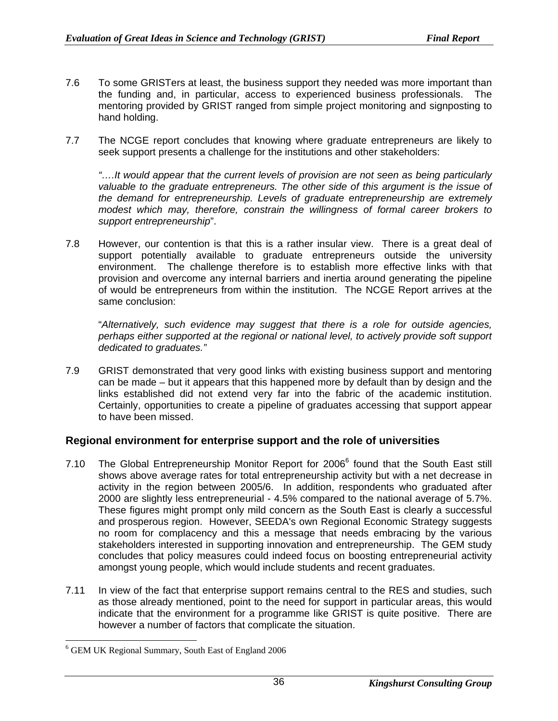- 7.6 To some GRISTers at least, the business support they needed was more important than the funding and, in particular, access to experienced business professionals. The mentoring provided by GRIST ranged from simple project monitoring and signposting to hand holding.
- 7.7 The NCGE report concludes that knowing where graduate entrepreneurs are likely to seek support presents a challenge for the institutions and other stakeholders:

*"….It would appear that the current levels of provision are not seen as being particularly valuable to the graduate entrepreneurs. The other side of this argument is the issue of the demand for entrepreneurship. Levels of graduate entrepreneurship are extremely modest which may, therefore, constrain the willingness of formal career brokers to support entrepreneurship*".

7.8 However, our contention is that this is a rather insular view. There is a great deal of support potentially available to graduate entrepreneurs outside the university environment. The challenge therefore is to establish more effective links with that provision and overcome any internal barriers and inertia around generating the pipeline of would be entrepreneurs from within the institution. The NCGE Report arrives at the same conclusion:

 "*Alternatively, such evidence may suggest that there is a role for outside agencies, perhaps either supported at the regional or national level, to actively provide soft support dedicated to graduates."*

7.9 GRIST demonstrated that very good links with existing business support and mentoring can be made – but it appears that this happened more by default than by design and the links established did not extend very far into the fabric of the academic institution. Certainly, opportunities to create a pipeline of graduates accessing that support appear to have been missed.

#### **Regional environment for enterprise support and the role of universities**

- 7.10 The Global Entrepreneurship Monitor Report for 200[6](#page-41-0)<sup>6</sup> found that the South East still shows above average rates for total entrepreneurship activity but with a net decrease in activity in the region between 2005/6. In addition, respondents who graduated after 2000 are slightly less entrepreneurial - 4.5% compared to the national average of 5.7%. These figures might prompt only mild concern as the South East is clearly a successful and prosperous region. However, SEEDA's own Regional Economic Strategy suggests no room for complacency and this a message that needs embracing by the various stakeholders interested in supporting innovation and entrepreneurship. The GEM study concludes that policy measures could indeed focus on boosting entrepreneurial activity amongst young people, which would include students and recent graduates.
- 7.11 In view of the fact that enterprise support remains central to the RES and studies, such as those already mentioned, point to the need for support in particular areas, this would indicate that the environment for a programme like GRIST is quite positive. There are however a number of factors that complicate the situation.

<span id="page-41-0"></span> $\frac{1}{6}$ <sup>6</sup> GEM UK Regional Summary, South East of England 2006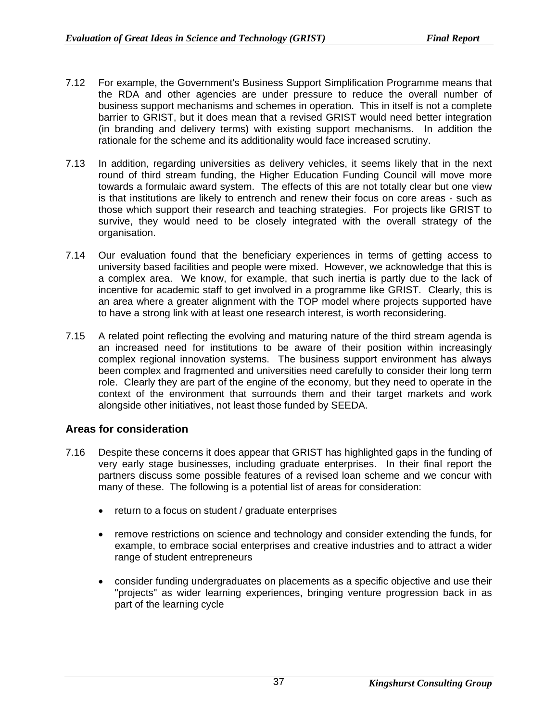- 7.12 For example, the Government's Business Support Simplification Programme means that the RDA and other agencies are under pressure to reduce the overall number of business support mechanisms and schemes in operation. This in itself is not a complete barrier to GRIST, but it does mean that a revised GRIST would need better integration (in branding and delivery terms) with existing support mechanisms. In addition the rationale for the scheme and its additionality would face increased scrutiny.
- 7.13 In addition, regarding universities as delivery vehicles, it seems likely that in the next round of third stream funding, the Higher Education Funding Council will move more towards a formulaic award system. The effects of this are not totally clear but one view is that institutions are likely to entrench and renew their focus on core areas - such as those which support their research and teaching strategies. For projects like GRIST to survive, they would need to be closely integrated with the overall strategy of the organisation.
- 7.14 Our evaluation found that the beneficiary experiences in terms of getting access to university based facilities and people were mixed. However, we acknowledge that this is a complex area. We know, for example, that such inertia is partly due to the lack of incentive for academic staff to get involved in a programme like GRIST. Clearly, this is an area where a greater alignment with the TOP model where projects supported have to have a strong link with at least one research interest, is worth reconsidering.
- 7.15 A related point reflecting the evolving and maturing nature of the third stream agenda is an increased need for institutions to be aware of their position within increasingly complex regional innovation systems. The business support environment has always been complex and fragmented and universities need carefully to consider their long term role. Clearly they are part of the engine of the economy, but they need to operate in the context of the environment that surrounds them and their target markets and work alongside other initiatives, not least those funded by SEEDA.

## **Areas for consideration**

- 7.16 Despite these concerns it does appear that GRIST has highlighted gaps in the funding of very early stage businesses, including graduate enterprises. In their final report the partners discuss some possible features of a revised loan scheme and we concur with many of these. The following is a potential list of areas for consideration:
	- return to a focus on student / graduate enterprises
	- remove restrictions on science and technology and consider extending the funds, for example, to embrace social enterprises and creative industries and to attract a wider range of student entrepreneurs
	- consider funding undergraduates on placements as a specific objective and use their "projects" as wider learning experiences, bringing venture progression back in as part of the learning cycle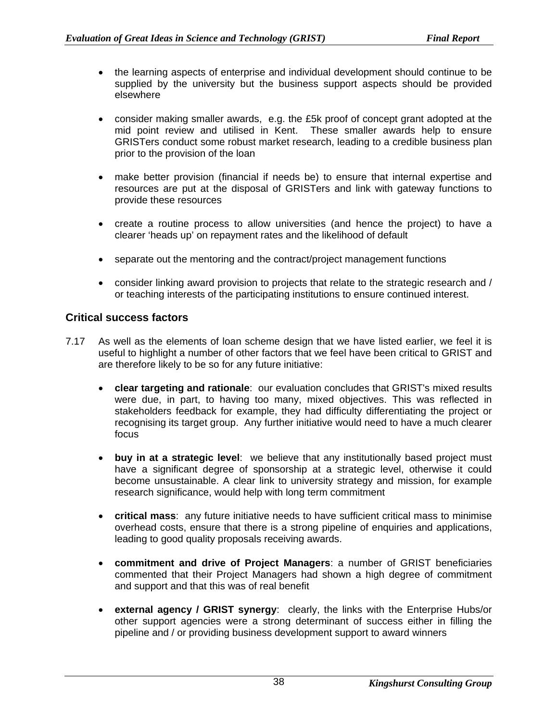- the learning aspects of enterprise and individual development should continue to be supplied by the university but the business support aspects should be provided elsewhere
- consider making smaller awards, e.g. the £5k proof of concept grant adopted at the mid point review and utilised in Kent. These smaller awards help to ensure GRISTers conduct some robust market research, leading to a credible business plan prior to the provision of the loan
- make better provision (financial if needs be) to ensure that internal expertise and resources are put at the disposal of GRISTers and link with gateway functions to provide these resources
- create a routine process to allow universities (and hence the project) to have a clearer 'heads up' on repayment rates and the likelihood of default
- separate out the mentoring and the contract/project management functions
- consider linking award provision to projects that relate to the strategic research and / or teaching interests of the participating institutions to ensure continued interest.

#### **Critical success factors**

- 7.17 As well as the elements of loan scheme design that we have listed earlier, we feel it is useful to highlight a number of other factors that we feel have been critical to GRIST and are therefore likely to be so for any future initiative:
	- **clear targeting and rationale**: our evaluation concludes that GRIST's mixed results were due, in part, to having too many, mixed objectives. This was reflected in stakeholders feedback for example, they had difficulty differentiating the project or recognising its target group. Any further initiative would need to have a much clearer focus
	- **buy in at a strategic level**: we believe that any institutionally based project must have a significant degree of sponsorship at a strategic level, otherwise it could become unsustainable. A clear link to university strategy and mission, for example research significance, would help with long term commitment
	- **critical mass**: any future initiative needs to have sufficient critical mass to minimise overhead costs, ensure that there is a strong pipeline of enquiries and applications, leading to good quality proposals receiving awards.
	- **commitment and drive of Project Managers**: a number of GRIST beneficiaries commented that their Project Managers had shown a high degree of commitment and support and that this was of real benefit
	- **external agency / GRIST synergy**: clearly, the links with the Enterprise Hubs/or other support agencies were a strong determinant of success either in filling the pipeline and / or providing business development support to award winners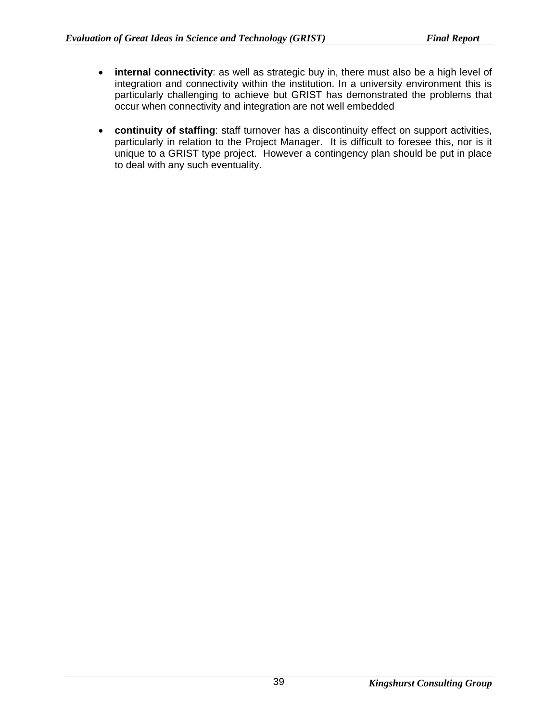- **internal connectivity**: as well as strategic buy in, there must also be a high level of integration and connectivity within the institution. In a university environment this is particularly challenging to achieve but GRIST has demonstrated the problems that occur when connectivity and integration are not well embedded
- **continuity of staffing**: staff turnover has a discontinuity effect on support activities, particularly in relation to the Project Manager. It is difficult to foresee this, nor is it unique to a GRIST type project. However a contingency plan should be put in place to deal with any such eventuality.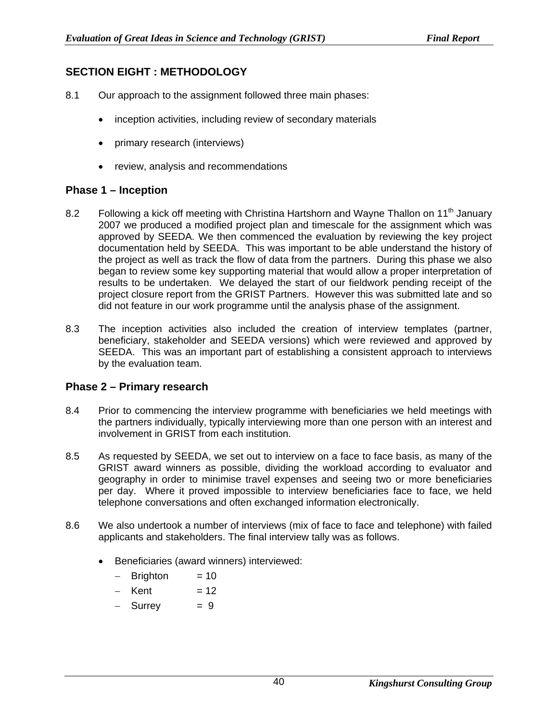## **SECTION EIGHT : METHODOLOGY**

- 8.1 Our approach to the assignment followed three main phases:
	- inception activities, including review of secondary materials
	- primary research (interviews)
	- review, analysis and recommendations

#### **Phase 1 – Inception**

- 8.2 Following a kick off meeting with Christina Hartshorn and Wayne Thallon on 11<sup>th</sup> January 2007 we produced a modified project plan and timescale for the assignment which was approved by SEEDA. We then commenced the evaluation by reviewing the key project documentation held by SEEDA. This was important to be able understand the history of the project as well as track the flow of data from the partners. During this phase we also began to review some key supporting material that would allow a proper interpretation of results to be undertaken. We delayed the start of our fieldwork pending receipt of the project closure report from the GRIST Partners. However this was submitted late and so did not feature in our work programme until the analysis phase of the assignment.
- 8.3 The inception activities also included the creation of interview templates (partner, beneficiary, stakeholder and SEEDA versions) which were reviewed and approved by SEEDA. This was an important part of establishing a consistent approach to interviews by the evaluation team.

#### **Phase 2 – Primary research**

- 8.4 Prior to commencing the interview programme with beneficiaries we held meetings with the partners individually, typically interviewing more than one person with an interest and involvement in GRIST from each institution.
- 8.5 As requested by SEEDA, we set out to interview on a face to face basis, as many of the GRIST award winners as possible, dividing the workload according to evaluator and geography in order to minimise travel expenses and seeing two or more beneficiaries per day. Where it proved impossible to interview beneficiaries face to face, we held telephone conversations and often exchanged information electronically.
- 8.6 We also undertook a number of interviews (mix of face to face and telephone) with failed applicants and stakeholders. The final interview tally was as follows.
	- Beneficiaries (award winners) interviewed:
		- − Brighton = 10
		- $-$  Kent = 12
		- $-$  Surrey  $= 9$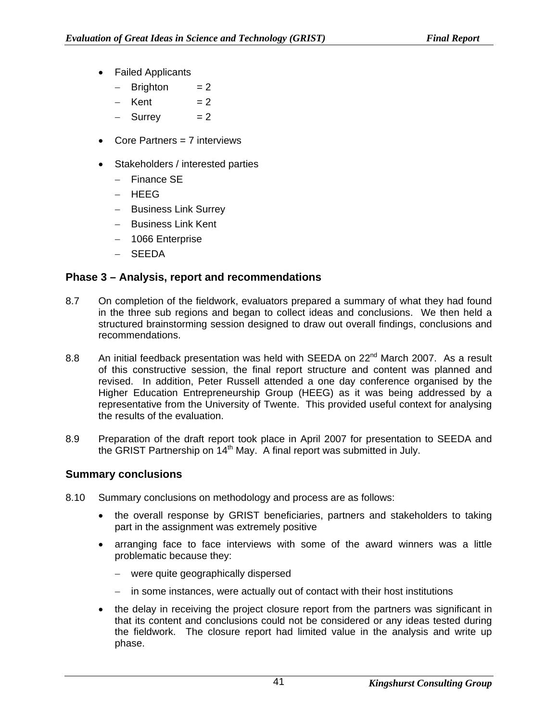- Failed Applicants
	- − Brighton = 2
	- $-$  Kent = 2
	- $-$  Surrey  $= 2$
- Core Partners = 7 interviews
- Stakeholders / interested parties
	- − Finance SE
	- − HEEG
	- − Business Link Surrey
	- − Business Link Kent
	- − 1066 Enterprise
	- − SEEDA

## **Phase 3 – Analysis, report and recommendations**

- 8.7 On completion of the fieldwork, evaluators prepared a summary of what they had found in the three sub regions and began to collect ideas and conclusions. We then held a structured brainstorming session designed to draw out overall findings, conclusions and recommendations.
- 8.8 An initial feedback presentation was held with SEEDA on 22<sup>nd</sup> March 2007. As a result of this constructive session, the final report structure and content was planned and revised. In addition, Peter Russell attended a one day conference organised by the Higher Education Entrepreneurship Group (HEEG) as it was being addressed by a representative from the University of Twente. This provided useful context for analysing the results of the evaluation.
- 8.9 Preparation of the draft report took place in April 2007 for presentation to SEEDA and the GRIST Partnership on 14<sup>th</sup> May. A final report was submitted in July.

#### **Summary conclusions**

- 8.10 Summary conclusions on methodology and process are as follows:
	- the overall response by GRIST beneficiaries, partners and stakeholders to taking part in the assignment was extremely positive
	- arranging face to face interviews with some of the award winners was a little problematic because they:
		- − were quite geographically dispersed
		- − in some instances, were actually out of contact with their host institutions
	- the delay in receiving the project closure report from the partners was significant in that its content and conclusions could not be considered or any ideas tested during the fieldwork. The closure report had limited value in the analysis and write up phase.